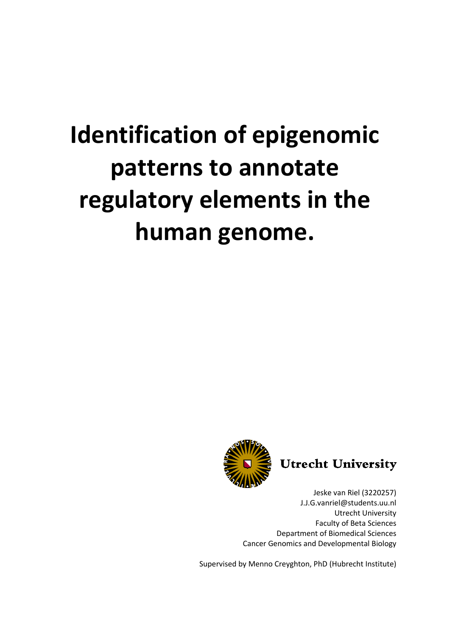# **Identification of epigenomic patterns to annotate regulatory elements in the human genome.**





Jeske van Riel (3220257) J.J.G.vanriel@students.uu.nl Utrecht University Faculty of Beta Sciences Department of Biomedical Sciences Cancer Genomics and Developmental Biology

Supervised by Menno Creyghton, PhD (Hubrecht Institute)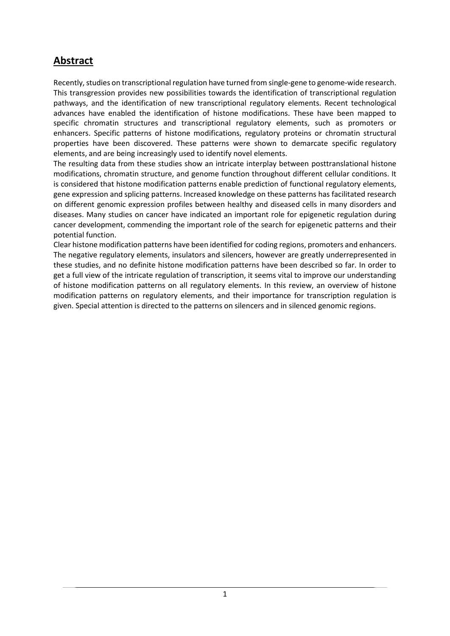# **Abstract**

Recently, studies on transcriptional regulation have turned from single-gene to genome-wide research. This transgression provides new possibilities towards the identification of transcriptional regulation pathways, and the identification of new transcriptional regulatory elements. Recent technological advances have enabled the identification of histone modifications. These have been mapped to specific chromatin structures and transcriptional regulatory elements, such as promoters or enhancers. Specific patterns of histone modifications, regulatory proteins or chromatin structural properties have been discovered. These patterns were shown to demarcate specific regulatory elements, and are being increasingly used to identify novel elements.

The resulting data from these studies show an intricate interplay between posttranslational histone modifications, chromatin structure, and genome function throughout different cellular conditions. It is considered that histone modification patterns enable prediction of functional regulatory elements, gene expression and splicing patterns. Increased knowledge on these patterns has facilitated research on different genomic expression profiles between healthy and diseased cells in many disorders and diseases. Many studies on cancer have indicated an important role for epigenetic regulation during cancer development, commending the important role of the search for epigenetic patterns and their potential function.

Clear histone modification patterns have been identified for coding regions, promoters and enhancers. The negative regulatory elements, insulators and silencers, however are greatly underrepresented in these studies, and no definite histone modification patterns have been described so far. In order to get a full view of the intricate regulation of transcription, it seems vital to improve our understanding of histone modification patterns on all regulatory elements. In this review, an overview of histone modification patterns on regulatory elements, and their importance for transcription regulation is given. Special attention is directed to the patterns on silencers and in silenced genomic regions.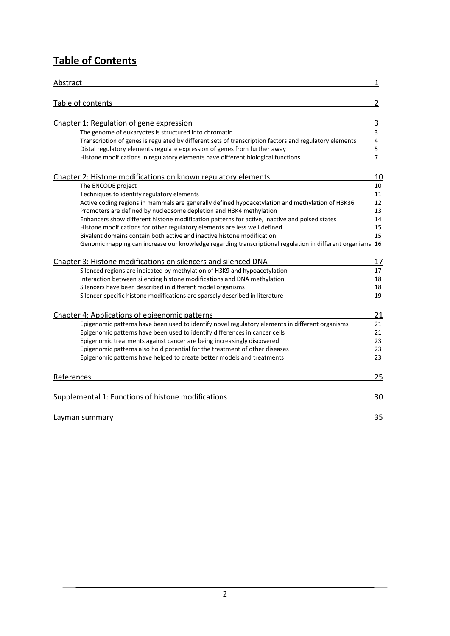# **Table of Contents**

| Abstract                                                                                                  | 1              |
|-----------------------------------------------------------------------------------------------------------|----------------|
| Table of contents                                                                                         | 2              |
|                                                                                                           |                |
| Chapter 1: Regulation of gene expression                                                                  | <u>3</u>       |
| The genome of eukaryotes is structured into chromatin                                                     | 3              |
| Transcription of genes is regulated by different sets of transcription factors and regulatory elements    | 4              |
| Distal regulatory elements regulate expression of genes from further away                                 | 5              |
| Histone modifications in regulatory elements have different biological functions                          | $\overline{7}$ |
| Chapter 2: Histone modifications on known regulatory elements                                             | 10             |
| The ENCODE project                                                                                        | 10             |
| Techniques to identify regulatory elements                                                                | 11             |
| Active coding regions in mammals are generally defined hypoacetylation and methylation of H3K36           | 12             |
| Promoters are defined by nucleosome depletion and H3K4 methylation                                        | 13             |
| Enhancers show different histone modification patterns for active, inactive and poised states             | 14             |
| Histone modifications for other regulatory elements are less well defined                                 | 15             |
| Bivalent domains contain both active and inactive histone modification                                    | 15             |
| Genomic mapping can increase our knowledge regarding transcriptional regulation in different organisms 16 |                |
| Chapter 3: Histone modifications on silencers and silenced DNA                                            | 17             |
| Silenced regions are indicated by methylation of H3K9 and hypoacetylation                                 | 17             |
| Interaction between silencing histone modifications and DNA methylation                                   | 18             |
| Silencers have been described in different model organisms                                                | 18             |
| Silencer-specific histone modifications are sparsely described in literature                              | 19             |
| Chapter 4: Applications of epigenomic patterns                                                            | 21             |
| Epigenomic patterns have been used to identify novel regulatory elements in different organisms           | 21             |
| Epigenomic patterns have been used to identify differences in cancer cells                                | 21             |
| Epigenomic treatments against cancer are being increasingly discovered                                    | 23             |
| Epigenomic patterns also hold potential for the treatment of other diseases                               | 23             |
| Epigenomic patterns have helped to create better models and treatments                                    | 23             |
| References                                                                                                | 25             |
|                                                                                                           |                |
| Supplemental 1: Functions of histone modifications                                                        | 30             |
| Layman summary                                                                                            | 35             |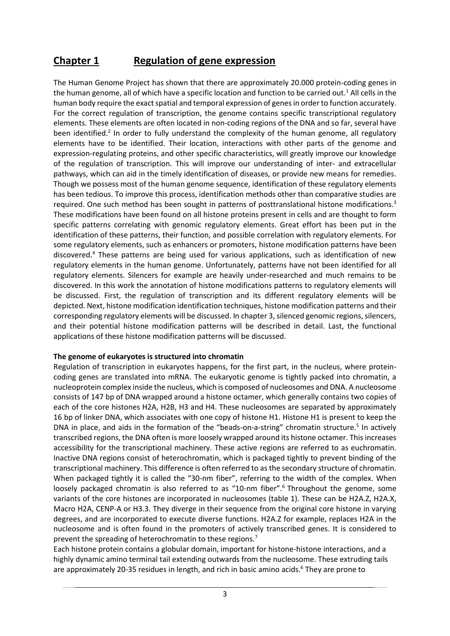## **Chapter 1 Regulation of gene expression**

The Human Genome Project has shown that there are approximately 20.000 protein-coding genes in the human genome, all of which have a specific location and function to be carried out.<sup>1</sup> All cells in the human body require the exact spatial and temporal expression of genes in order to function accurately. For the correct regulation of transcription, the genome contains specific transcriptional regulatory elements. These elements are often located in non-coding regions of the DNA and so far, several have been identified.<sup>2</sup> In order to fully understand the complexity of the human genome, all regulatory elements have to be identified. Their location, interactions with other parts of the genome and expression-regulating proteins, and other specific characteristics, will greatly improve our knowledge of the regulation of transcription. This will improve our understanding of inter- and extracellular pathways, which can aid in the timely identification of diseases, or provide new means for remedies. Though we possess most of the human genome sequence, identification of these regulatory elements has been tedious. To improve this process, identification methods other than comparative studies are required. One such method has been sought in patterns of posttranslational histone modifications.<sup>3</sup> These modifications have been found on all histone proteins present in cells and are thought to form specific patterns correlating with genomic regulatory elements. Great effort has been put in the identification of these patterns, their function, and possible correlation with regulatory elements. For some regulatory elements, such as enhancers or promoters, histone modification patterns have been discovered. <sup>4</sup> These patterns are being used for various applications, such as identification of new regulatory elements in the human genome. Unfortunately, patterns have not been identified for all regulatory elements. Silencers for example are heavily under-researched and much remains to be discovered. In this work the annotation of histone modifications patterns to regulatory elements will be discussed. First, the regulation of transcription and its different regulatory elements will be depicted. Next, histone modification identification techniques, histone modification patterns and their corresponding regulatory elements will be discussed. In chapter 3, silenced genomic regions, silencers, and their potential histone modification patterns will be described in detail. Last, the functional applications of these histone modification patterns will be discussed.

#### **The genome of eukaryotes is structured into chromatin**

Regulation of transcription in eukaryotes happens, for the first part, in the nucleus, where proteincoding genes are translated into mRNA. The eukaryotic genome is tightly packed into chromatin, a nucleoprotein complex inside the nucleus, which is composed of nucleosomes and DNA. A nucleosome consists of 147 bp of DNA wrapped around a histone octamer, which generally contains two copies of each of the core histones H2A, H2B, H3 and H4. These nucleosomes are separated by approximately 16 bp of linker DNA, which associates with one copy of histone H1. Histone H1 is present to keep the DNA in place, and aids in the formation of the "beads-on-a-string" chromatin structure.<sup>5</sup> In actively transcribed regions, the DNA often is more loosely wrapped around its histone octamer. This increases accessibility for the transcriptional machinery. These active regions are referred to as euchromatin. Inactive DNA regions consist of heterochromatin, which is packaged tightly to prevent binding of the transcriptional machinery. This difference is often referred to as the secondary structure of chromatin. When packaged tightly it is called the "30-nm fiber", referring to the width of the complex. When loosely packaged chromatin is also referred to as "10-nm fiber".<sup>6</sup> Throughout the genome, some variants of the core histones are incorporated in nucleosomes (table 1). These can be H2A.Z, H2A.X, Macro H2A, CENP-A or H3.3. They diverge in their sequence from the original core histone in varying degrees, and are incorporated to execute diverse functions. H2A.Z for example, replaces H2A in the nucleosome and is often found in the promoters of actively transcribed genes. It is considered to prevent the spreading of heterochromatin to these regions.<sup>7</sup>

Each histone protein contains a globular domain, important for histone-histone interactions, and a highly dynamic amino terminal tail extending outwards from the nucleosome. These extruding tails are approximately 20-35 residues in length, and rich in basic amino acids.<sup>6</sup> They are prone to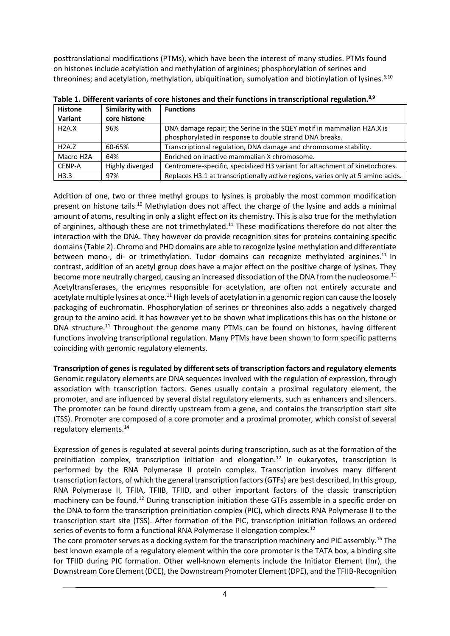posttranslational modifications (PTMs), which have been the interest of many studies. PTMs found on histones include acetylation and methylation of arginines; phosphorylation of serines and threonines; and acetylation, methylation, ubiquitination, sumolyation and biotinylation of lysines.<sup>6,10</sup>

| <b>Histone</b>         | Similarity with | <b>Functions</b>                                                                 |
|------------------------|-----------------|----------------------------------------------------------------------------------|
| Variant                | core histone    |                                                                                  |
| H2A.X                  | 96%             | DNA damage repair; the Serine in the SQEY motif in mammalian H2A.X is            |
|                        |                 | phosphorylated in response to double strand DNA breaks.                          |
| H2A.7                  | 60-65%          | Transcriptional regulation, DNA damage and chromosome stability.                 |
| Macro H <sub>2</sub> A | 64%             | Enriched on inactive mammalian X chromosome.                                     |
| CENP-A                 | Highly diverged | Centromere-specific, specialized H3 variant for attachment of kinetochores.      |
| H3.3                   | 97%             | Replaces H3.1 at transcriptionally active regions, varies only at 5 amino acids. |

**Table 1. Different variants of core histones and their functions in transcriptional regulation.8,9**

Addition of one, two or three methyl groups to lysines is probably the most common modification present on histone tails.<sup>10</sup> Methylation does not affect the charge of the lysine and adds a minimal amount of atoms, resulting in only a slight effect on its chemistry. This is also true for the methylation of arginines, although these are not trimethylated.<sup>11</sup> These modifications therefore do not alter the interaction with the DNA. They however do provide recognition sites for proteins containing specific domains(Table 2). Chromo and PHD domains are able to recognize lysine methylation and differentiate between mono-, di- or trimethylation. Tudor domains can recognize methylated arginines.<sup>11</sup> In contrast, addition of an acetyl group does have a major effect on the positive charge of lysines. They become more neutrally charged, causing an increased dissociation of the DNA from the nucleosome.<sup>11</sup> Acetyltransferases, the enzymes responsible for acetylation, are often not entirely accurate and acetylate multiple lysines at once.<sup>11</sup> High levels of acetylation in a genomic region can cause the loosely packaging of euchromatin. Phosphorylation of serines or threonines also adds a negatively charged group to the amino acid. It has however yet to be shown what implications this has on the histone or DNA structure.<sup>11</sup> Throughout the genome many PTMs can be found on histones, having different functions involving transcriptional regulation. Many PTMs have been shown to form specific patterns coinciding with genomic regulatory elements.

#### **Transcription of genes is regulated by different sets of transcription factors and regulatory elements**

Genomic regulatory elements are DNA sequences involved with the regulation of expression, through association with transcription factors. Genes usually contain a proximal regulatory element, the promoter, and are influenced by several distal regulatory elements, such as enhancers and silencers. The promoter can be found directly upstream from a gene, and contains the transcription start site (TSS). Promoter are composed of a core promoter and a proximal promoter, which consist of several regulatory elements.<sup>14</sup>

Expression of genes is regulated at several points during transcription, such as at the formation of the preinitiation complex, transcription initiation and elongation.<sup>12</sup> In eukaryotes, transcription is performed by the RNA Polymerase II protein complex. Transcription involves many different transcription factors, of which the general transcription factors (GTFs) are best described. In this group, RNA Polymerase II, TFIIA, TFIIB, TFIID, and other important factors of the classic transcription machinery can be found.<sup>12</sup> During transcription initiation these GTFs assemble in a specific order on the DNA to form the transcription preinitiation complex (PIC), which directs RNA Polymerase II to the transcription start site (TSS). After formation of the PIC, transcription initiation follows an ordered series of events to form a functional RNA Polymerase II elongation complex.<sup>12</sup>

The core promoter serves as a docking system for the transcription machinery and PIC assembly.<sup>16</sup> The best known example of a regulatory element within the core promoter is the TATA box, a binding site for TFIID during PIC formation. Other well-known elements include the Initiator Element (Inr), the Downstream Core Element (DCE), the Downstream Promoter Element (DPE), and the TFIIB-Recognition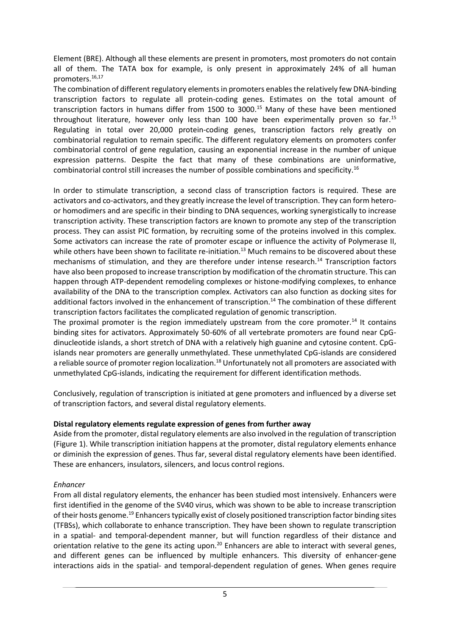Element (BRE). Although all these elements are present in promoters, most promoters do not contain all of them. The TATA box for example, is only present in approximately 24% of all human promoters.16,17

The combination of different regulatory elements in promoters enables the relatively few DNA-binding transcription factors to regulate all protein-coding genes. Estimates on the total amount of transcription factors in humans differ from 1500 to 3000.<sup>15</sup> Many of these have been mentioned throughout literature, however only less than 100 have been experimentally proven so far.<sup>15</sup> Regulating in total over 20,000 protein-coding genes, transcription factors rely greatly on combinatorial regulation to remain specific. The different regulatory elements on promoters confer combinatorial control of gene regulation, causing an exponential increase in the number of unique expression patterns. Despite the fact that many of these combinations are uninformative, combinatorial control still increases the number of possible combinations and specificity.<sup>16</sup>

In order to stimulate transcription, a second class of transcription factors is required. These are activators and co-activators, and they greatly increase the level of transcription. They can form heteroor homodimers and are specific in their binding to DNA sequences, working synergistically to increase transcription activity. These transcription factors are known to promote any step of the transcription process. They can assist PIC formation, by recruiting some of the proteins involved in this complex. Some activators can increase the rate of promoter escape or influence the activity of Polymerase II, while others have been shown to facilitate re-initiation.<sup>13</sup> Much remains to be discovered about these mechanisms of stimulation, and they are therefore under intense research.<sup>14</sup> Transcription factors have also been proposed to increase transcription by modification of the chromatin structure. This can happen through ATP-dependent remodeling complexes or histone-modifying complexes, to enhance availability of the DNA to the transcription complex. Activators can also function as docking sites for additional factors involved in the enhancement of transcription.<sup>14</sup> The combination of these different transcription factors facilitates the complicated regulation of genomic transcription.

The proximal promoter is the region immediately upstream from the core promoter.<sup>14</sup> It contains binding sites for activators. Approximately 50-60% of all vertebrate promoters are found near CpGdinucleotide islands, a short stretch of DNA with a relatively high guanine and cytosine content. CpGislands near promoters are generally unmethylated. These unmethylated CpG-islands are considered a reliable source of promoter region localization.<sup>18</sup> Unfortunately not all promoters are associated with unmethylated CpG-islands, indicating the requirement for different identification methods.

Conclusively, regulation of transcription is initiated at gene promoters and influenced by a diverse set of transcription factors, and several distal regulatory elements.

#### **Distal regulatory elements regulate expression of genes from further away**

Aside from the promoter, distal regulatory elements are also involved in the regulation of transcription (Figure 1). While transcription initiation happens at the promoter, distal regulatory elements enhance or diminish the expression of genes. Thus far, several distal regulatory elements have been identified. These are enhancers, insulators, silencers, and locus control regions.

#### *Enhancer*

From all distal regulatory elements, the enhancer has been studied most intensively. Enhancers were first identified in the genome of the SV40 virus, which was shown to be able to increase transcription of their hosts genome.<sup>19</sup> Enhancers typically exist of closely positioned transcription factor binding sites (TFBSs), which collaborate to enhance transcription. They have been shown to regulate transcription in a spatial- and temporal-dependent manner, but will function regardless of their distance and orientation relative to the gene its acting upon.<sup>20</sup> Enhancers are able to interact with several genes, and different genes can be influenced by multiple enhancers. This diversity of enhancer-gene interactions aids in the spatial- and temporal-dependent regulation of genes. When genes require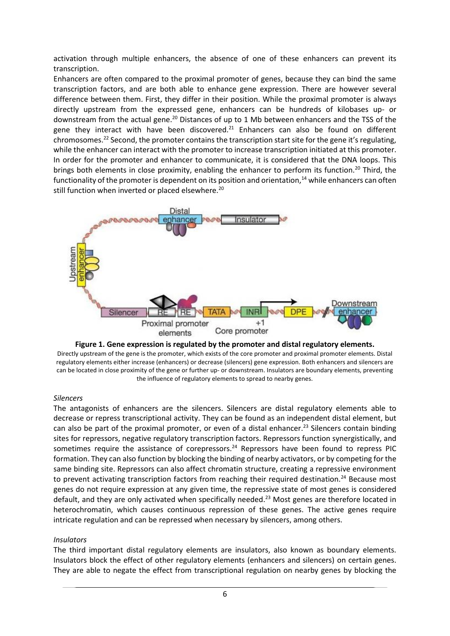activation through multiple enhancers, the absence of one of these enhancers can prevent its transcription.

Enhancers are often compared to the proximal promoter of genes, because they can bind the same transcription factors, and are both able to enhance gene expression. There are however several difference between them. First, they differ in their position. While the proximal promoter is always directly upstream from the expressed gene, enhancers can be hundreds of kilobases up- or downstream from the actual gene.<sup>20</sup> Distances of up to 1 Mb between enhancers and the TSS of the gene they interact with have been discovered. $21$  Enhancers can also be found on different chromosomes.<sup>22</sup> Second, the promoter contains the transcription start site for the gene it's regulating, while the enhancer can interact with the promoter to increase transcription initiated at this promoter. In order for the promoter and enhancer to communicate, it is considered that the DNA loops. This brings both elements in close proximity, enabling the enhancer to perform its function.<sup>20</sup> Third, the functionality of the promoter is dependent on its position and orientation, $14$  while enhancers can often still function when inverted or placed elsewhere.<sup>20</sup>



**Figure 1. Gene expression is regulated by the promoter and distal regulatory elements.** Directly upstream of the gene is the promoter, which exists of the core promoter and proximal promoter elements. Distal regulatory elements either increase (enhancers) or decrease (silencers) gene expression. Both enhancers and silencers are can be located in close proximity of the gene or further up- or downstream. Insulators are boundary elements, preventing the influence of regulatory elements to spread to nearby genes.

#### *Silencers*

The antagonists of enhancers are the silencers. Silencers are distal regulatory elements able to decrease or repress transcriptional activity. They can be found as an independent distal element, but can also be part of the proximal promoter, or even of a distal enhancer.<sup>23</sup> Silencers contain binding sites for repressors, negative regulatory transcription factors. Repressors function synergistically, and sometimes require the assistance of corepressors.<sup>24</sup> Repressors have been found to repress PIC formation. They can also function by blocking the binding of nearby activators, or by competing for the same binding site. Repressors can also affect chromatin structure, creating a repressive environment to prevent activating transcription factors from reaching their required destination.<sup>24</sup> Because most genes do not require expression at any given time, the repressive state of most genes is considered default, and they are only activated when specifically needed.<sup>23</sup> Most genes are therefore located in heterochromatin, which causes continuous repression of these genes. The active genes require intricate regulation and can be repressed when necessary by silencers, among others.

#### *Insulators*

The third important distal regulatory elements are insulators, also known as boundary elements. Insulators block the effect of other regulatory elements (enhancers and silencers) on certain genes. They are able to negate the effect from transcriptional regulation on nearby genes by blocking the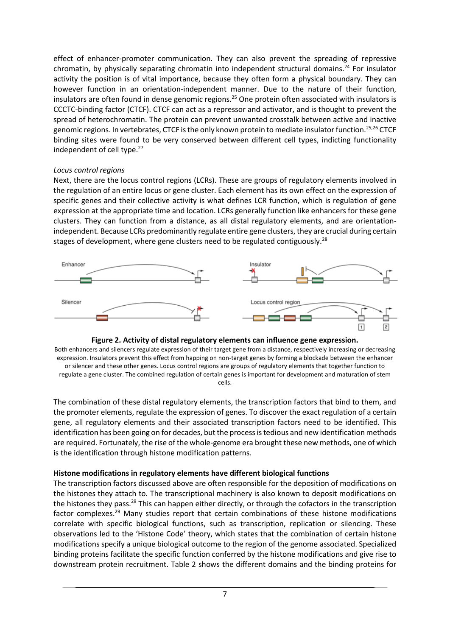effect of enhancer-promoter communication. They can also prevent the spreading of repressive chromatin, by physically separating chromatin into independent structural domains. <sup>24</sup> For insulator activity the position is of vital importance, because they often form a physical boundary. They can however function in an orientation-independent manner. Due to the nature of their function, insulators are often found in dense genomic regions.<sup>25</sup> One protein often associated with insulators is CCCTC-binding factor (CTCF). CTCF can act as a repressor and activator, and is thought to prevent the spread of heterochromatin. The protein can prevent unwanted crosstalk between active and inactive genomic regions. In vertebrates, CTCF is the only known protein to mediate insulator function.<sup>25,26</sup> CTCF binding sites were found to be very conserved between different cell types, indicting functionality independent of cell type.<sup>27</sup>

#### *Locus control regions*

Next, there are the locus control regions (LCRs). These are groups of regulatory elements involved in the regulation of an entire locus or gene cluster. Each element has its own effect on the expression of specific genes and their collective activity is what defines LCR function, which is regulation of gene expression at the appropriate time and location. LCRs generally function like enhancers for these gene clusters. They can function from a distance, as all distal regulatory elements, and are orientationindependent. Because LCRs predominantly regulate entire gene clusters, they are crucial during certain stages of development, where gene clusters need to be regulated contiguously.<sup>28</sup>





Both enhancers and silencers regulate expression of their target gene from a distance, respectively increasing or decreasing expression. Insulators prevent this effect from happing on non-target genes by forming a blockade between the enhancer or silencer and these other genes. Locus control regions are groups of regulatory elements that together function to regulate a gene cluster. The combined regulation of certain genes is important for development and maturation of stem cells.

The combination of these distal regulatory elements, the transcription factors that bind to them, and the promoter elements, regulate the expression of genes. To discover the exact regulation of a certain gene, all regulatory elements and their associated transcription factors need to be identified. This identification has been going on for decades, but the process is tedious and new identification methods are required. Fortunately, the rise of the whole-genome era brought these new methods, one of which is the identification through histone modification patterns.

#### **Histone modifications in regulatory elements have different biological functions**

The transcription factors discussed above are often responsible for the deposition of modifications on the histones they attach to. The transcriptional machinery is also known to deposit modifications on the histones they pass.<sup>29</sup> This can happen either directly, or through the cofactors in the transcription factor complexes.<sup>29</sup> Many studies report that certain combinations of these histone modifications correlate with specific biological functions, such as transcription, replication or silencing. These observations led to the 'Histone Code' theory, which states that the combination of certain histone modifications specify a unique biological outcome to the region of the genome associated. Specialized binding proteins facilitate the specific function conferred by the histone modifications and give rise to downstream protein recruitment. Table 2 shows the different domains and the binding proteins for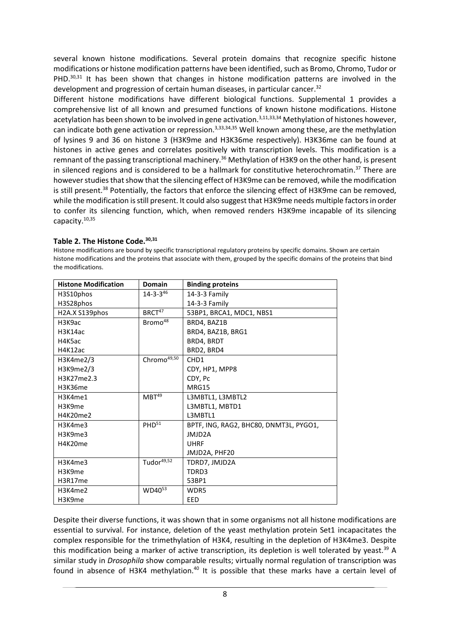several known histone modifications. Several protein domains that recognize specific histone modifications or histone modification patterns have been identified, such as Bromo, Chromo, Tudor or PHD. $30,31$  It has been shown that changes in histone modification patterns are involved in the development and progression of certain human diseases, in particular cancer.<sup>32</sup>

Different histone modifications have different biological functions. Supplemental 1 provides a comprehensive list of all known and presumed functions of known histone modifications. Histone acetylation has been shown to be involved in gene activation.<sup>3,11,33,34</sup> Methylation of histones however, can indicate both gene activation or repression.<sup>3,33,34,35</sup> Well known among these, are the methylation of lysines 9 and 36 on histone 3 (H3K9me and H3K36me respectively). H3K36me can be found at histones in active genes and correlates positively with transcription levels. This modification is a remnant of the passing transcriptional machinery.<sup>36</sup> Methylation of H3K9 on the other hand, is present in silenced regions and is considered to be a hallmark for constitutive heterochromatin.<sup>37</sup> There are however studies that show that the silencing effect of H3K9me can be removed, while the modification is still present.<sup>38</sup> Potentially, the factors that enforce the silencing effect of H3K9me can be removed, while the modification is still present. It could also suggest that H3K9me needs multiple factors in order to confer its silencing function, which, when removed renders H3K9me incapable of its silencing capacity. 10,35

#### **Table 2. The Histone Code.30,31**

Histone modifications are bound by specific transcriptional regulatory proteins by specific domains. Shown are certain histone modifications and the proteins that associate with them, grouped by the specific domains of the proteins that bind the modifications.

| <b>Histone Modification</b> | <b>Domain</b>           | <b>Binding proteins</b>                |
|-----------------------------|-------------------------|----------------------------------------|
| H3S10phos                   | $14 - 3 - 3^{46}$       | $14-3-3$ Family                        |
| H3S28phos                   |                         | 14-3-3 Family                          |
| H2A.X S139phos              | BRCT <sup>47</sup>      | 53BP1, BRCA1, MDC1, NBS1               |
| H3K9ac                      | Bromo <sup>48</sup>     | BRD4, BAZ1B                            |
| H3K14ac                     |                         | BRD4, BAZ1B, BRG1                      |
| H4K5ac                      |                         | BRD4, BRDT                             |
| H4K12ac                     |                         | BRD2, BRD4                             |
| H3K4me2/3                   | Chromo <sup>49,50</sup> | CH <sub>D</sub> 1                      |
| H3K9me2/3                   |                         | CDY, HP1, MPP8                         |
| H3K27me2.3                  |                         | CDY, Pc                                |
| H3K36me                     |                         | MRG15                                  |
| H3K4me1                     | MBT <sup>49</sup>       | L3MBTL1, L3MBTL2                       |
| H3K9me                      |                         | L3MBTL1, MBTD1                         |
| H4K20me2                    |                         | L3MBTL1                                |
| H3K4me3                     | PHD <sup>51</sup>       | BPTF, ING, RAG2, BHC80, DNMT3L, PYGO1, |
| H3K9me3                     |                         | <b>IMID2A</b>                          |
| H4K20me                     |                         | <b>UHRF</b>                            |
|                             |                         | JMJD2A, PHF20                          |
| H3K4me3                     | Tudor <sup>49,52</sup>  | TDRD7, JMJD2A                          |
| H3K9me                      |                         | TDRD3                                  |
| H3R17me                     |                         | 53BP1                                  |
| H3K4me2                     | WD40 <sup>53</sup>      | WDR5                                   |
| H3K9me                      |                         | EED                                    |

Despite their diverse functions, it was shown that in some organisms not all histone modifications are essential to survival. For instance, deletion of the yeast methylation protein Set1 incapacitates the complex responsible for the trimethylation of H3K4, resulting in the depletion of H3K4me3. Despite this modification being a marker of active transcription, its depletion is well tolerated by yeast.<sup>39</sup> A similar study in *Drosophila* show comparable results; virtually normal regulation of transcription was found in absence of H3K4 methylation.<sup>40</sup> It is possible that these marks have a certain level of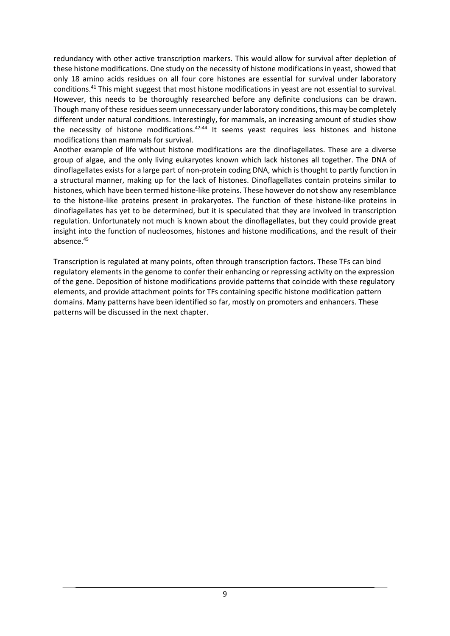redundancy with other active transcription markers. This would allow for survival after depletion of these histone modifications. One study on the necessity of histone modifications in yeast, showed that only 18 amino acids residues on all four core histones are essential for survival under laboratory conditions.<sup>41</sup> This might suggest that most histone modifications in yeast are not essential to survival. However, this needs to be thoroughly researched before any definite conclusions can be drawn. Though many of these residues seem unnecessary under laboratory conditions, this may be completely different under natural conditions. Interestingly, for mammals, an increasing amount of studies show the necessity of histone modifications.<sup>42-44</sup> It seems yeast requires less histones and histone modifications than mammals for survival.

Another example of life without histone modifications are the dinoflagellates. These are a diverse group of algae, and the only living eukaryotes known which lack histones all together. The DNA of dinoflagellates exists for a large part of non-protein coding DNA, which is thought to partly function in a structural manner, making up for the lack of histones. Dinoflagellates contain proteins similar to histones, which have been termed histone-like proteins. These however do not show any resemblance to the histone-like proteins present in prokaryotes. The function of these histone-like proteins in dinoflagellates has yet to be determined, but it is speculated that they are involved in transcription regulation. Unfortunately not much is known about the dinoflagellates, but they could provide great insight into the function of nucleosomes, histones and histone modifications, and the result of their absence.<sup>45</sup>

Transcription is regulated at many points, often through transcription factors. These TFs can bind regulatory elements in the genome to confer their enhancing or repressing activity on the expression of the gene. Deposition of histone modifications provide patterns that coincide with these regulatory elements, and provide attachment points for TFs containing specific histone modification pattern domains. Many patterns have been identified so far, mostly on promoters and enhancers. These patterns will be discussed in the next chapter.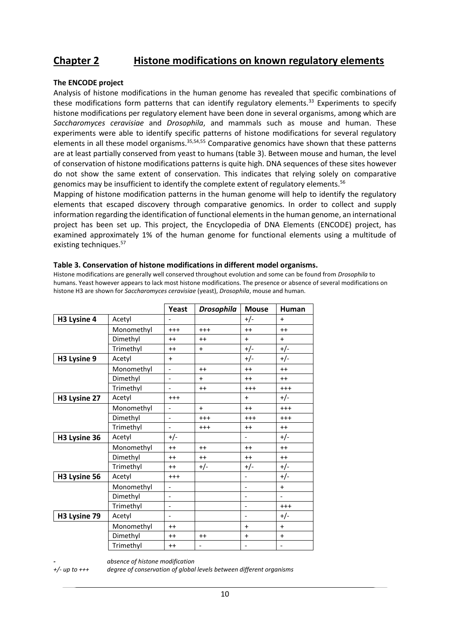## **Chapter 2 Histone modifications on known regulatory elements**

#### **The ENCODE project**

Analysis of histone modifications in the human genome has revealed that specific combinations of these modifications form patterns that can identify regulatory elements.<sup>33</sup> Experiments to specify histone modifications per regulatory element have been done in several organisms, among which are *Saccharomyces ceravisiae* and *Drosophila*, and mammals such as mouse and human. These experiments were able to identify specific patterns of histone modifications for several regulatory elements in all these model organisms.<sup>35,54,55</sup> Comparative genomics have shown that these patterns are at least partially conserved from yeast to humans (table 3). Between mouse and human, the level of conservation of histone modifications patterns is quite high. DNA sequences of these sites however do not show the same extent of conservation. This indicates that relying solely on comparative genomics may be insufficient to identify the complete extent of regulatory elements.<sup>56</sup>

Mapping of histone modification patterns in the human genome will help to identify the regulatory elements that escaped discovery through comparative genomics. In order to collect and supply information regarding the identification of functional elements in the human genome, an international project has been set up. This project, the Encyclopedia of DNA Elements (ENCODE) project, has examined approximately 1% of the human genome for functional elements using a multitude of existing techniques.<sup>57</sup>

|              |            | Yeast                    | <b>Drosophila</b>        | <b>Mouse</b>             | <b>Human</b>             |
|--------------|------------|--------------------------|--------------------------|--------------------------|--------------------------|
| H3 Lysine 4  | Acetyl     |                          |                          | $+/-$                    | $+$                      |
|              | Monomethyl | $+++$                    | $^{+++}$                 | $++$                     | $++$                     |
|              | Dimethyl   | $++$                     | $++$                     | $+$                      | $+$                      |
|              | Trimethyl  | $++$                     | $+$                      | $+/-$                    | $+/-$                    |
| H3 Lysine 9  | Acetyl     | $+$                      |                          | $+/-$                    | $+/-$                    |
|              | Monomethyl | $\overline{a}$           | $++$                     | $++$                     | $++$                     |
|              | Dimethyl   |                          | $+$                      | $++$                     | $++$                     |
|              | Trimethyl  | $\overline{a}$           | $++$                     | $^{+++}$                 | $^{+++}$                 |
| H3 Lysine 27 | Acetyl     | $^{++}$                  |                          | $+$                      | $+/-$                    |
|              | Monomethyl | $\overline{a}$           | $+$                      | $++$                     | $+++$                    |
|              | Dimethyl   | $\overline{a}$           | $^{++}$                  | $^{+++}$                 | $^{++}$                  |
|              | Trimethyl  | $\blacksquare$           | $^{++}$                  | $++$                     | $++$                     |
| H3 Lysine 36 | Acetyl     | $+/-$                    |                          | $\blacksquare$           | $+/-$                    |
|              | Monomethyl | $++$                     | $++$                     | $++$                     | $++$                     |
|              | Dimethyl   | $++$                     | $++$                     | $++$                     | $++$                     |
|              | Trimethyl  | $^{++}$                  | $+/-$                    | $+/-$                    | $+/-$                    |
| H3 Lysine 56 | Acetyl     | $^{+++}$                 |                          | $\overline{a}$           | $+/-$                    |
|              | Monomethyl | $\blacksquare$           |                          | $\frac{1}{2}$            | $+$                      |
|              | Dimethyl   | $\overline{\phantom{a}}$ |                          | $\overline{\phantom{0}}$ | $\overline{\phantom{a}}$ |
|              | Trimethyl  | $\blacksquare$           |                          | $\overline{a}$           | $^{++}$                  |
| H3 Lysine 79 | Acetyl     | $\overline{a}$           |                          | $\overline{a}$           | $+/-$                    |
|              | Monomethyl | $^{++}$                  |                          | $\ddot{}$                | $+$                      |
|              | Dimethyl   | $++$                     | $++$                     | $\ddot{}$                | $\ddot{}$                |
|              | Trimethyl  | $++$                     | $\overline{\phantom{a}}$ | $\overline{\phantom{0}}$ | $\overline{\phantom{0}}$ |

#### **Table 3. Conservation of histone modifications in different model organisms.**

Histone modifications are generally well conserved throughout evolution and some can be found from *Drosophila* to humans. Yeast however appears to lack most histone modifications. The presence or absence of several modifications on histone H3 are shown for *Saccharomyces ceravisiae* (yeast), *Drosophila*, mouse and human.

*- absence of histone modification*

*+/- up to +++ degree of conservation of global levels between different organisms*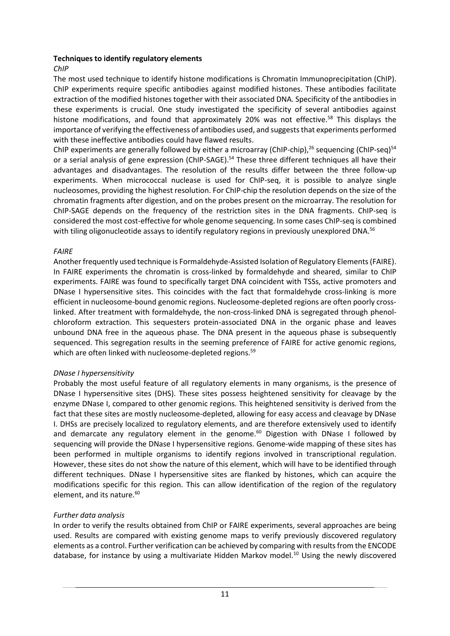#### **Techniques to identify regulatory elements**

#### *ChIP*

The most used technique to identify histone modifications is Chromatin Immunoprecipitation (ChIP). ChIP experiments require specific antibodies against modified histones. These antibodies facilitate extraction of the modified histones together with their associated DNA. Specificity of the antibodies in these experiments is crucial. One study investigated the specificity of several antibodies against histone modifications, and found that approximately 20% was not effective.<sup>58</sup> This displays the importance of verifying the effectiveness of antibodies used, and suggests that experiments performed with these ineffective antibodies could have flawed results.

ChIP experiments are generally followed by either a microarray (ChIP-chip),<sup>26</sup> sequencing (ChIP-seq)<sup>54</sup> or a serial analysis of gene expression (ChIP-SAGE).<sup>54</sup> These three different techniques all have their advantages and disadvantages. The resolution of the results differ between the three follow-up experiments. When micrococcal nuclease is used for ChIP-seq, it is possible to analyze single nucleosomes, providing the highest resolution. For ChIP-chip the resolution depends on the size of the chromatin fragments after digestion, and on the probes present on the microarray. The resolution for ChIP-SAGE depends on the frequency of the restriction sites in the DNA fragments. ChIP-seq is considered the most cost-effective for whole genome sequencing. In some cases ChIP-seq is combined with tiling oligonucleotide assays to identify regulatory regions in previously unexplored DNA.<sup>56</sup>

#### *FAIRE*

Another frequently used technique is Formaldehyde-Assisted Isolation of Regulatory Elements (FAIRE). In FAIRE experiments the chromatin is cross-linked by formaldehyde and sheared, similar to ChIP experiments. FAIRE was found to specifically target DNA coincident with TSSs, active promoters and DNase I hypersensitive sites. This coincides with the fact that formaldehyde cross-linking is more efficient in nucleosome-bound genomic regions. Nucleosome-depleted regions are often poorly crosslinked. After treatment with formaldehyde, the non-cross-linked DNA is segregated through phenolchloroform extraction. This sequesters protein-associated DNA in the organic phase and leaves unbound DNA free in the aqueous phase. The DNA present in the aqueous phase is subsequently sequenced. This segregation results in the seeming preference of FAIRE for active genomic regions, which are often linked with nucleosome-depleted regions.<sup>59</sup>

#### *DNase I hypersensitivity*

Probably the most useful feature of all regulatory elements in many organisms, is the presence of DNase I hypersensitive sites (DHS). These sites possess heightened sensitivity for cleavage by the enzyme DNase I, compared to other genomic regions. This heightened sensitivity is derived from the fact that these sites are mostly nucleosome-depleted, allowing for easy access and cleavage by DNase I. DHSs are precisely localized to regulatory elements, and are therefore extensively used to identify and demarcate any regulatory element in the genome.<sup>60</sup> Digestion with DNase I followed by sequencing will provide the DNase I hypersensitive regions. Genome-wide mapping of these sites has been performed in multiple organisms to identify regions involved in transcriptional regulation. However, these sites do not show the nature of this element, which will have to be identified through different techniques. DNase I hypersensitive sites are flanked by histones, which can acquire the modifications specific for this region. This can allow identification of the region of the regulatory element, and its nature.<sup>60</sup>

#### *Further data analysis*

In order to verify the results obtained from ChIP or FAIRE experiments, several approaches are being used. Results are compared with existing genome maps to verify previously discovered regulatory elements as a control. Further verification can be achieved by comparing with results from the ENCODE database, for instance by using a multivariate Hidden Markov model.<sup>10</sup> Using the newly discovered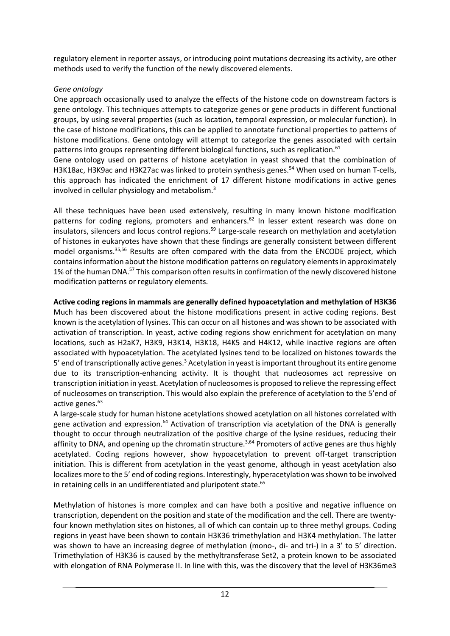regulatory element in reporter assays, or introducing point mutations decreasing its activity, are other methods used to verify the function of the newly discovered elements.

## *Gene ontology*

One approach occasionally used to analyze the effects of the histone code on downstream factors is gene ontology. This techniques attempts to categorize genes or gene products in different functional groups, by using several properties (such as location, temporal expression, or molecular function). In the case of histone modifications, this can be applied to annotate functional properties to patterns of histone modifications. Gene ontology will attempt to categorize the genes associated with certain patterns into groups representing different biological functions, such as replication.<sup>61</sup> Gene ontology used on patterns of histone acetylation in yeast showed that the combination of H3K18ac, H3K9ac and H3K27ac was linked to protein synthesis genes.<sup>54</sup> When used on human T-cells, this approach has indicated the enrichment of 17 different histone modifications in active genes

involved in cellular physiology and metabolism.<sup>3</sup>

All these techniques have been used extensively, resulting in many known histone modification patterns for coding regions, promoters and enhancers.<sup>62</sup> In lesser extent research was done on insulators, silencers and locus control regions.<sup>59</sup> Large-scale research on methylation and acetylation of histones in eukaryotes have shown that these findings are generally consistent between different model organisms.35,56 Results are often compared with the data from the ENCODE project, which contains information about the histone modification patterns on regulatory elements in approximately 1% of the human DNA.<sup>57</sup> This comparison often results in confirmation of the newly discovered histone modification patterns or regulatory elements.

## **Active coding regions in mammals are generally defined hypoacetylation and methylation of H3K36**

Much has been discovered about the histone modifications present in active coding regions. Best known is the acetylation of lysines. This can occur on all histones and was shown to be associated with activation of transcription. In yeast, active coding regions show enrichment for acetylation on many locations, such as H2aK7, H3K9, H3K14, H3K18, H4K5 and H4K12, while inactive regions are often associated with hypoacetylation. The acetylated lysines tend to be localized on histones towards the 5' end of transcriptionally active genes.<sup>3</sup> Acetylation in yeast is important throughout its entire genome due to its transcription-enhancing activity. It is thought that nucleosomes act repressive on transcription initiation in yeast. Acetylation of nucleosomes is proposed to relieve the repressing effect of nucleosomes on transcription. This would also explain the preference of acetylation to the 5'end of active genes. 63

A large-scale study for human histone acetylations showed acetylation on all histones correlated with gene activation and expression.<sup>64</sup> Activation of transcription via acetylation of the DNA is generally thought to occur through neutralization of the positive charge of the lysine residues, reducing their affinity to DNA, and opening up the chromatin structure.<sup>3,64</sup> Promoters of active genes are thus highly acetylated. Coding regions however, show hypoacetylation to prevent off-target transcription initiation. This is different from acetylation in the yeast genome, although in yeast acetylation also localizes more to the 5' end of coding regions. Interestingly, hyperacetylation was shown to be involved in retaining cells in an undifferentiated and pluripotent state.<sup>65</sup>

Methylation of histones is more complex and can have both a positive and negative influence on transcription, dependent on the position and state of the modification and the cell. There are twentyfour known methylation sites on histones, all of which can contain up to three methyl groups. Coding regions in yeast have been shown to contain H3K36 trimethylation and H3K4 methylation. The latter was shown to have an increasing degree of methylation (mono-, di- and tri-) in a 3' to 5' direction. Trimethylation of H3K36 is caused by the methyltransferase Set2, a protein known to be associated with elongation of RNA Polymerase II. In line with this, was the discovery that the level of H3K36me3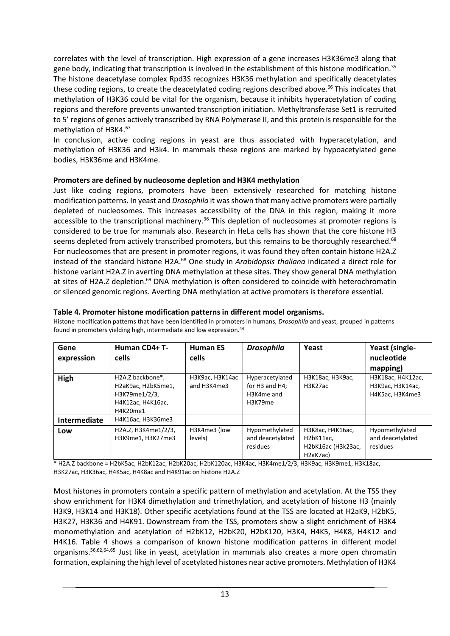correlates with the level of transcription. High expression of a gene increases H3K36me3 along that gene body, indicating that transcription is involved in the establishment of this histone modification.<sup>35</sup> The histone deacetylase complex Rpd3S recognizes H3K36 methylation and specifically deacetylates these coding regions, to create the deacetylated coding regions described above.<sup>66</sup> This indicates that methylation of H3K36 could be vital for the organism, because it inhibits hyperacetylation of coding regions and therefore prevents unwanted transcription initiation. Methyltransferase Set1 is recruited to 5' regions of genes actively transcribed by RNA Polymerase II, and this protein is responsible for the methylation of H3K4.<sup>67</sup>

In conclusion, active coding regions in yeast are thus associated with hyperacetylation, and methylation of H3K36 and H3k4. In mammals these regions are marked by hypoacetylated gene bodies, H3K36me and H3K4me.

#### **Promoters are defined by nucleosome depletion and H3K4 methylation**

Just like coding regions, promoters have been extensively researched for matching histone modification patterns. In yeast and *Drosophila* it was shown that many active promoters were partially depleted of nucleosomes. This increases accessibility of the DNA in this region, making it more accessible to the transcriptional machinery.<sup>36</sup> This depletion of nucleosomes at promoter regions is considered to be true for mammals also. Research in HeLa cells has shown that the core histone H3 seems depleted from actively transcribed promoters, but this remains to be thoroughly researched.<sup>68</sup> For nucleosomes that are present in promoter regions, it was found they often contain histone H2A.Z instead of the standard histone H2A.<sup>68</sup> One study in *Arabidopsis thaliana* indicated a direct role for histone variant H2A.Z in averting DNA methylation at these sites. They show general DNA methylation at sites of H2A.Z depletion.<sup>69</sup> DNA methylation is often considered to coincide with heterochromatin or silenced genomic regions. Averting DNA methylation at active promoters is therefore essential.

#### **Table 4. Promoter histone modification patterns in different model organisms.**

Histone modification patterns that have been identified in promoters in humans, *Drosophila* and yeast, grouped in patterns found in promoters yielding high, intermediate and low expression.<sup>44</sup>

| Gene<br>expression | Human CD4+ T-<br>cells                                                                   | <b>Human ES</b><br>cells       | <b>Drosophila</b>                                               | Yeast                                                                                     | Yeast (single-<br>nucleotide<br>mapping)                 |
|--------------------|------------------------------------------------------------------------------------------|--------------------------------|-----------------------------------------------------------------|-------------------------------------------------------------------------------------------|----------------------------------------------------------|
| High               | H2A.Z backbone*,<br>H2aK9ac, H2bK5me1,<br>H3K79me1/2/3,<br>H4K12ac, H4K16ac,<br>H4K20me1 | H3K9ac, H3K14ac<br>and H3K4me3 | Hyperacetylated<br>for $H3$ and $H4$ :<br>H3K4me and<br>H3K79me | H3K18ac, H3K9ac,<br>H3K27ac                                                               | H3K18ac, H4K12ac,<br>H3K9ac, H3K14ac,<br>H4K5ac, H3K4me3 |
| Intermediate       | H4K16ac, H3K36me3                                                                        |                                |                                                                 |                                                                                           |                                                          |
| Low                | H2A.Z, H3K4me1/2/3,<br>H3K9me1, H3K27me3                                                 | H3K4me3 (low<br>levels)        | Hypomethylated<br>and deacetylated<br>residues                  | H3K8ac, H4K16ac,<br>H2bK11ac,<br>H2bK16ac (H3k23ac,<br>H <sub>2</sub> aK <sub>7</sub> ac) | Hypomethylated<br>and deacetylated<br>residues           |

\* H2A.Z backbone = H2bK5ac, H2bK12ac, H2bK20ac, H2bK120ac, H3K4ac, H3K4me1/2/3, H3K9ac, H3K9me1, H3K18ac, H3K27ac, H3K36ac, H4K5ac, H4K8ac and H4K91ac on histone H2A.Z

Most histones in promoters contain a specific pattern of methylation and acetylation. At the TSS they show enrichment for H3K4 dimethylation and trimethylation, and acetylation of histone H3 (mainly H3K9, H3K14 and H3K18). Other specific acetylations found at the TSS are located at H2aK9, H2bK5, H3K27, H3K36 and H4K91. Downstream from the TSS, promoters show a slight enrichment of H3K4 monomethylation and acetylation of H2bK12, H2bK20, H2bK120, H3K4, H4K5, H4K8, H4K12 and H4K16. Table 4 shows a comparison of known histone modification patterns in different model organisms.56,62,64,65 Just like in yeast, acetylation in mammals also creates a more open chromatin formation, explaining the high level of acetylated histones near active promoters. Methylation of H3K4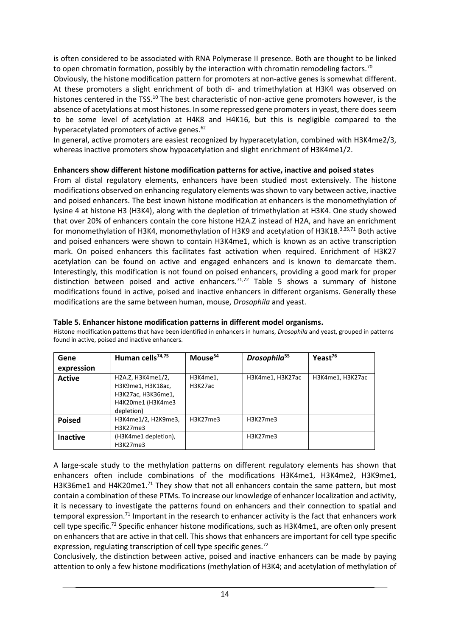is often considered to be associated with RNA Polymerase II presence. Both are thought to be linked to open chromatin formation, possibly by the interaction with chromatin remodeling factors.<sup>70</sup>

Obviously, the histone modification pattern for promoters at non-active genes is somewhat different. At these promoters a slight enrichment of both di- and trimethylation at H3K4 was observed on histones centered in the TSS.<sup>10</sup> The best characteristic of non-active gene promoters however, is the absence of acetylations at most histones. In some repressed gene promoters in yeast, there does seem to be some level of acetylation at H4K8 and H4K16, but this is negligible compared to the hyperacetylated promoters of active genes.<sup>62</sup>

In general, active promoters are easiest recognized by hyperacetylation, combined with H3K4me2/3, whereas inactive promoters show hypoacetylation and slight enrichment of H3K4me1/2.

#### **Enhancers show different histone modification patterns for active, inactive and poised states**

From al distal regulatory elements, enhancers have been studied most extensively. The histone modifications observed on enhancing regulatory elements was shown to vary between active, inactive and poised enhancers. The best known histone modification at enhancers is the monomethylation of lysine 4 at histone H3 (H3K4), along with the depletion of trimethylation at H3K4. One study showed that over 20% of enhancers contain the core histone H2A.Z instead of H2A, and have an enrichment for monomethylation of H3K4, monomethylation of H3K9 and acetylation of H3K18.3,35,71 Both active and poised enhancers were shown to contain H3K4me1, which is known as an active transcription mark. On poised enhancers this facilitates fast activation when required. Enrichment of H3K27 acetylation can be found on active and engaged enhancers and is known to demarcate them. Interestingly, this modification is not found on poised enhancers, providing a good mark for proper distinction between poised and active enhancers.<sup>71,72</sup> Table 5 shows a summary of histone modifications found in active, poised and inactive enhancers in different organisms. Generally these modifications are the same between human, mouse, *Drosophila* and yeast.

| Gene          | Human cells <sup>74,75</sup>                                                                    | Mouse <sup>54</sup> | Drosophila <sup>55</sup> | Yeast <sup>76</sup> |
|---------------|-------------------------------------------------------------------------------------------------|---------------------|--------------------------|---------------------|
| expression    |                                                                                                 |                     |                          |                     |
| <b>Active</b> | H2A.Z, H3K4me1/2,<br>H3K9me1, H3K18ac,<br>H3K27ac, H3K36me1,<br>H4K20me1 (H3K4me3<br>depletion) | H3K4me1,<br>H3K27ac | H3K4me1, H3K27ac         | H3K4me1, H3K27ac    |
|               |                                                                                                 |                     |                          |                     |
| <b>Poised</b> | H3K4me1/2, H2K9me3,<br>H3K27me3                                                                 | H3K27me3            | H3K27me3                 |                     |
| Inactive      | (H3K4me1 depletion),<br>H3K27me3                                                                |                     | H3K27me3                 |                     |

#### **Table 5. Enhancer histone modification patterns in different model organisms.**

Histone modification patterns that have been identified in enhancers in humans, *Drosophila* and yeast, grouped in patterns found in active, poised and inactive enhancers.

A large-scale study to the methylation patterns on different regulatory elements has shown that enhancers often include combinations of the modifications H3K4me1, H3K4me2, H3K9me1, H3K36me1 and H4K20me1.<sup>71</sup> They show that not all enhancers contain the same pattern, but most contain a combination of these PTMs. To increase our knowledge of enhancer localization and activity, it is necessary to investigate the patterns found on enhancers and their connection to spatial and temporal expression.<sup>71</sup> Important in the research to enhancer activity is the fact that enhancers work cell type specific.<sup>72</sup> Specific enhancer histone modifications, such as H3K4me1, are often only present on enhancers that are active in that cell. This shows that enhancers are important for cell type specific expression, regulating transcription of cell type specific genes.<sup>72</sup>

Conclusively, the distinction between active, poised and inactive enhancers can be made by paying attention to only a few histone modifications (methylation of H3K4; and acetylation of methylation of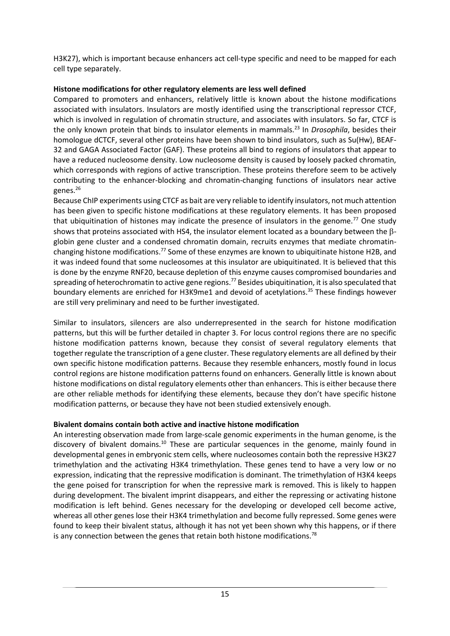H3K27), which is important because enhancers act cell-type specific and need to be mapped for each cell type separately.

### **Histone modifications for other regulatory elements are less well defined**

Compared to promoters and enhancers, relatively little is known about the histone modifications associated with insulators. Insulators are mostly identified using the transcriptional repressor CTCF, which is involved in regulation of chromatin structure, and associates with insulators. So far, CTCF is the only known protein that binds to insulator elements in mammals.<sup>23</sup> In *Drosophila*, besides their homologue dCTCF, several other proteins have been shown to bind insulators, such as Su(Hw), BEAF-32 and GAGA Associated Factor (GAF). These proteins all bind to regions of insulators that appear to have a reduced nucleosome density. Low nucleosome density is caused by loosely packed chromatin, which corresponds with regions of active transcription. These proteins therefore seem to be actively contributing to the enhancer-blocking and chromatin-changing functions of insulators near active genes.<sup>26</sup>

Because ChIP experiments using CTCF as bait are very reliable to identify insulators, not much attention has been given to specific histone modifications at these regulatory elements. It has been proposed that ubiquitination of histones may indicate the presence of insulators in the genome.<sup>77</sup> One study shows that proteins associated with HS4, the insulator element located as a boundary between the  $\beta$ globin gene cluster and a condensed chromatin domain, recruits enzymes that mediate chromatinchanging histone modifications.<sup>77</sup> Some of these enzymes are known to ubiquitinate histone H2B, and it was indeed found that some nucleosomes at this insulator are ubiquitinated. It is believed that this is done by the enzyme RNF20, because depletion of this enzyme causes compromised boundaries and spreading of heterochromatin to active gene regions.<sup>77</sup> Besides ubiquitination, it is also speculated that boundary elements are enriched for H3K9me1 and devoid of acetylations.<sup>35</sup> These findings however are still very preliminary and need to be further investigated.

Similar to insulators, silencers are also underrepresented in the search for histone modification patterns, but this will be further detailed in chapter 3. For locus control regions there are no specific histone modification patterns known, because they consist of several regulatory elements that together regulate the transcription of a gene cluster. These regulatory elements are all defined by their own specific histone modification patterns. Because they resemble enhancers, mostly found in locus control regions are histone modification patterns found on enhancers. Generally little is known about histone modifications on distal regulatory elements other than enhancers. This is either because there are other reliable methods for identifying these elements, because they don't have specific histone modification patterns, or because they have not been studied extensively enough.

## **Bivalent domains contain both active and inactive histone modification**

An interesting observation made from large-scale genomic experiments in the human genome, is the discovery of bivalent domains.<sup>10</sup> These are particular sequences in the genome, mainly found in developmental genes in embryonic stem cells, where nucleosomes contain both the repressive H3K27 trimethylation and the activating H3K4 trimethylation. These genes tend to have a very low or no expression, indicating that the repressive modification is dominant. The trimethylation of H3K4 keeps the gene poised for transcription for when the repressive mark is removed. This is likely to happen during development. The bivalent imprint disappears, and either the repressing or activating histone modification is left behind. Genes necessary for the developing or developed cell become active, whereas all other genes lose their H3K4 trimethylation and become fully repressed. Some genes were found to keep their bivalent status, although it has not yet been shown why this happens, or if there is any connection between the genes that retain both histone modifications.<sup>78</sup>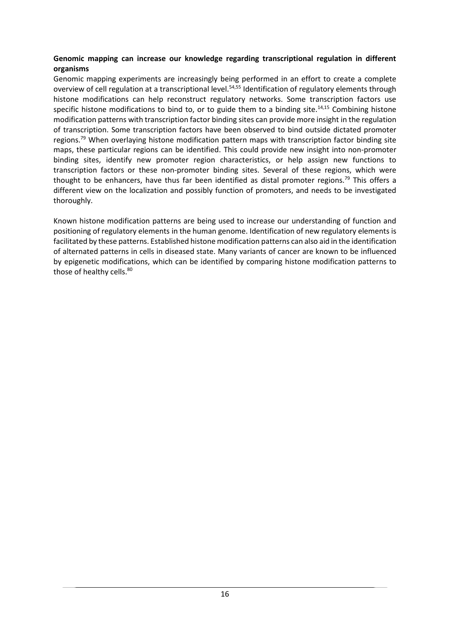#### **Genomic mapping can increase our knowledge regarding transcriptional regulation in different organisms**

Genomic mapping experiments are increasingly being performed in an effort to create a complete overview of cell regulation at a transcriptional level.<sup>54,55</sup> Identification of regulatory elements through histone modifications can help reconstruct regulatory networks. Some transcription factors use specific histone modifications to bind to, or to guide them to a binding site.<sup>14,15</sup> Combining histone modification patterns with transcription factor binding sites can provide more insight in the regulation of transcription. Some transcription factors have been observed to bind outside dictated promoter regions.<sup>79</sup> When overlaying histone modification pattern maps with transcription factor binding site maps, these particular regions can be identified. This could provide new insight into non-promoter binding sites, identify new promoter region characteristics, or help assign new functions to transcription factors or these non-promoter binding sites. Several of these regions, which were thought to be enhancers, have thus far been identified as distal promoter regions.<sup>79</sup> This offers a different view on the localization and possibly function of promoters, and needs to be investigated thoroughly.

Known histone modification patterns are being used to increase our understanding of function and positioning of regulatory elements in the human genome. Identification of new regulatory elements is facilitated by these patterns. Established histone modification patterns can also aid in the identification of alternated patterns in cells in diseased state. Many variants of cancer are known to be influenced by epigenetic modifications, which can be identified by comparing histone modification patterns to those of healthy cells.<sup>80</sup>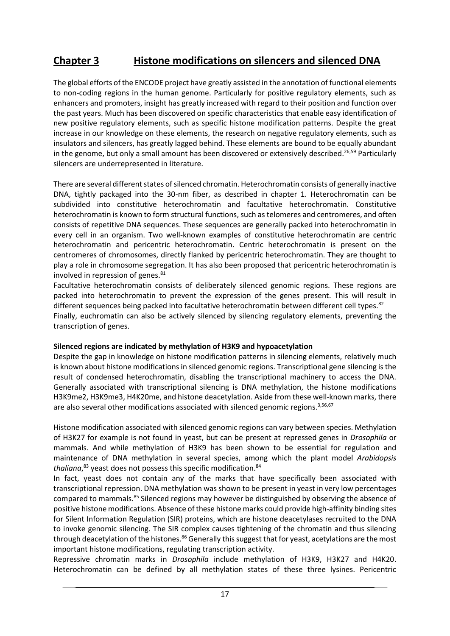# **Chapter 3 Histone modifications on silencers and silenced DNA**

The global efforts of the ENCODE project have greatly assisted in the annotation of functional elements to non-coding regions in the human genome. Particularly for positive regulatory elements, such as enhancers and promoters, insight has greatly increased with regard to their position and function over the past years. Much has been discovered on specific characteristics that enable easy identification of new positive regulatory elements, such as specific histone modification patterns. Despite the great increase in our knowledge on these elements, the research on negative regulatory elements, such as insulators and silencers, has greatly lagged behind. These elements are bound to be equally abundant in the genome, but only a small amount has been discovered or extensively described.<sup>26,59</sup> Particularly silencers are underrepresented in literature.

There are several different states of silenced chromatin. Heterochromatin consists of generally inactive DNA, tightly packaged into the 30-nm fiber, as described in chapter 1. Heterochromatin can be subdivided into constitutive heterochromatin and facultative heterochromatin. Constitutive heterochromatin is known to form structural functions, such as telomeres and centromeres, and often consists of repetitive DNA sequences. These sequences are generally packed into heterochromatin in every cell in an organism. Two well-known examples of constitutive heterochromatin are centric heterochromatin and pericentric heterochromatin. Centric heterochromatin is present on the centromeres of chromosomes, directly flanked by pericentric heterochromatin. They are thought to play a role in chromosome segregation. It has also been proposed that pericentric heterochromatin is involved in repression of genes. $81$ 

Facultative heterochromatin consists of deliberately silenced genomic regions. These regions are packed into heterochromatin to prevent the expression of the genes present. This will result in different sequences being packed into facultative heterochromatin between different cell types.<sup>82</sup> Finally, euchromatin can also be actively silenced by silencing regulatory elements, preventing the transcription of genes.

#### **Silenced regions are indicated by methylation of H3K9 and hypoacetylation**

Despite the gap in knowledge on histone modification patterns in silencing elements, relatively much is known about histone modifications in silenced genomic regions. Transcriptional gene silencing is the result of condensed heterochromatin, disabling the transcriptional machinery to access the DNA. Generally associated with transcriptional silencing is DNA methylation, the histone modifications H3K9me2, H3K9me3, H4K20me, and histone deacetylation. Aside from these well-known marks, there are also several other modifications associated with silenced genomic regions.<sup>3,56,67</sup>

Histone modification associated with silenced genomic regions can vary between species. Methylation of H3K27 for example is not found in yeast, but can be present at repressed genes in *Drosophila* or mammals. And while methylation of H3K9 has been shown to be essential for regulation and maintenance of DNA methylation in several species, among which the plant model *Arabidopsis thaliana*, <sup>83</sup> yeast does not possess this specific modification.<sup>84</sup>

In fact, yeast does not contain any of the marks that have specifically been associated with transcriptional repression. DNA methylation was shown to be present in yeast in very low percentages compared to mammals.<sup>85</sup> Silenced regions may however be distinguished by observing the absence of positive histone modifications. Absence of these histone marks could provide high-affinity binding sites for Silent Information Regulation (SIR) proteins, which are histone deacetylases recruited to the DNA to invoke genomic silencing. The SIR complex causes tightening of the chromatin and thus silencing through deacetylation of the histones.<sup>86</sup> Generally this suggest that for yeast, acetylations are the most important histone modifications, regulating transcription activity.

Repressive chromatin marks in *Drosophila* include methylation of H3K9, H3K27 and H4K20. Heterochromatin can be defined by all methylation states of these three lysines. Pericentric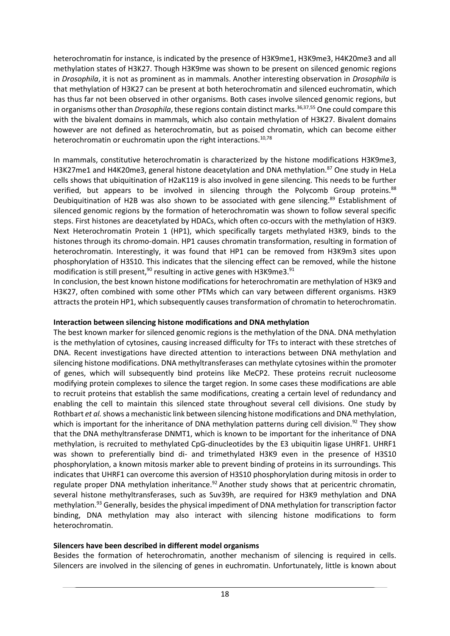heterochromatin for instance, is indicated by the presence of H3K9me1, H3K9me3, H4K20me3 and all methylation states of H3K27. Though H3K9me was shown to be present on silenced genomic regions in *Drosophila*, it is not as prominent as in mammals. Another interesting observation in *Drosophila* is that methylation of H3K27 can be present at both heterochromatin and silenced euchromatin, which has thus far not been observed in other organisms. Both cases involve silenced genomic regions, but in organisms other than *Drosophila*, these regions contain distinct marks.<sup>36,37,55</sup> One could compare this with the bivalent domains in mammals, which also contain methylation of H3K27. Bivalent domains however are not defined as heterochromatin, but as poised chromatin, which can become either heterochromatin or euchromatin upon the right interactions.<sup>10,78</sup>

In mammals, constitutive heterochromatin is characterized by the histone modifications H3K9me3, H3K27me1 and H4K20me3, general histone deacetylation and DNA methylation.<sup>87</sup> One study in HeLa cells shows that ubiquitination of H2aK119 is also involved in gene silencing. This needs to be further verified, but appears to be involved in silencing through the Polycomb Group proteins.<sup>88</sup> Deubiquitination of H2B was also shown to be associated with gene silencing.<sup>89</sup> Establishment of silenced genomic regions by the formation of heterochromatin was shown to follow several specific steps. First histones are deacetylated by HDACs, which often co-occurs with the methylation of H3K9. Next Heterochromatin Protein 1 (HP1), which specifically targets methylated H3K9, binds to the histones through its chromo-domain. HP1 causes chromatin transformation, resulting in formation of heterochromatin. Interestingly, it was found that HP1 can be removed from H3K9m3 sites upon phosphorylation of H3S10. This indicates that the silencing effect can be removed, while the histone modification is still present,<sup>90</sup> resulting in active genes with H3K9me3.<sup>91</sup>

In conclusion, the best known histone modifications for heterochromatin are methylation of H3K9 and H3K27, often combined with some other PTMs which can vary between different organisms. H3K9 attracts the protein HP1, which subsequently causes transformation of chromatin to heterochromatin.

#### **Interaction between silencing histone modifications and DNA methylation**

The best known marker for silenced genomic regions is the methylation of the DNA. DNA methylation is the methylation of cytosines, causing increased difficulty for TFs to interact with these stretches of DNA. Recent investigations have directed attention to interactions between DNA methylation and silencing histone modifications. DNA methyltransferases can methylate cytosines within the promoter of genes, which will subsequently bind proteins like MeCP2. These proteins recruit nucleosome modifying protein complexes to silence the target region. In some cases these modifications are able to recruit proteins that establish the same modifications, creating a certain level of redundancy and enabling the cell to maintain this silenced state throughout several cell divisions. One study by Rothbart *et al.*shows a mechanistic link between silencing histone modifications and DNA methylation, which is important for the inheritance of DNA methylation patterns during cell division.<sup>92</sup> They show that the DNA methyltransferase DNMT1, which is known to be important for the inheritance of DNA methylation, is recruited to methylated CpG-dinucleotides by the E3 ubiquitin ligase UHRF1. UHRF1 was shown to preferentially bind di- and trimethylated H3K9 even in the presence of H3S10 phosphorylation, a known mitosis marker able to prevent binding of proteins in its surroundings. This indicates that UHRF1 can overcome this aversion of H3S10 phosphorylation during mitosis in order to regulate proper DNA methylation inheritance.<sup>92</sup> Another study shows that at pericentric chromatin, several histone methyltransferases, such as Suv39h, are required for H3K9 methylation and DNA methylation.<sup>93</sup> Generally, besides the physical impediment of DNA methylation for transcription factor binding, DNA methylation may also interact with silencing histone modifications to form heterochromatin.

#### **Silencers have been described in different model organisms**

Besides the formation of heterochromatin, another mechanism of silencing is required in cells. Silencers are involved in the silencing of genes in euchromatin. Unfortunately, little is known about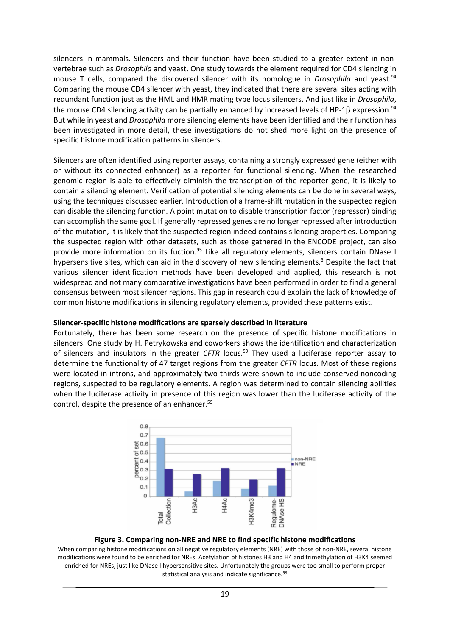silencers in mammals. Silencers and their function have been studied to a greater extent in nonvertebrae such as *Drosophila* and yeast. One study towards the element required for CD4 silencing in mouse T cells, compared the discovered silencer with its homologue in *Drosophila* and yeast.<sup>94</sup> Comparing the mouse CD4 silencer with yeast, they indicated that there are several sites acting with redundant function just as the HML and HMR mating type locus silencers. And just like in *Drosophila*, the mouse CD4 silencing activity can be partially enhanced by increased levels of HP-1 $\beta$  expression.<sup>94</sup> But while in yeast and *Drosophila* more silencing elements have been identified and their function has been investigated in more detail, these investigations do not shed more light on the presence of specific histone modification patterns in silencers.

Silencers are often identified using reporter assays, containing a strongly expressed gene (either with or without its connected enhancer) as a reporter for functional silencing. When the researched genomic region is able to effectively diminish the transcription of the reporter gene, it is likely to contain a silencing element. Verification of potential silencing elements can be done in several ways, using the techniques discussed earlier. Introduction of a frame-shift mutation in the suspected region can disable the silencing function. A point mutation to disable transcription factor (repressor) binding can accomplish the same goal. If generally repressed genes are no longer repressed after introduction of the mutation, it is likely that the suspected region indeed contains silencing properties. Comparing the suspected region with other datasets, such as those gathered in the ENCODE project, can also provide more information on its fuction.<sup>95</sup> Like all regulatory elements, silencers contain DNase I hypersensitive sites, which can aid in the discovery of new silencing elements.<sup>3</sup> Despite the fact that various silencer identification methods have been developed and applied, this research is not widespread and not many comparative investigations have been performed in order to find a general consensus between most silencer regions. This gap in research could explain the lack of knowledge of common histone modifications in silencing regulatory elements, provided these patterns exist.

#### **Silencer-specific histone modifications are sparsely described in literature**

Fortunately, there has been some research on the presence of specific histone modifications in silencers. One study by H. Petrykowska and coworkers shows the identification and characterization of silencers and insulators in the greater *CFTR* locus. <sup>59</sup> They used a luciferase reporter assay to determine the functionality of 47 target regions from the greater *CFTR* locus. Most of these regions were located in introns, and approximately two thirds were shown to include conserved noncoding regions, suspected to be regulatory elements. A region was determined to contain silencing abilities when the luciferase activity in presence of this region was lower than the luciferase activity of the control, despite the presence of an enhancer.<sup>59</sup>



#### **Figure 3. Comparing non-NRE and NRE to find specific histone modifications**

When comparing histone modifications on all negative regulatory elements (NRE) with those of non-NRE, several histone modifications were found to be enriched for NREs. Acetylation of histones H3 and H4 and trimethylation of H3K4 seemed enriched for NREs, just like DNase I hypersensitive sites. Unfortunately the groups were too small to perform proper statistical analysis and indicate significance.<sup>59</sup>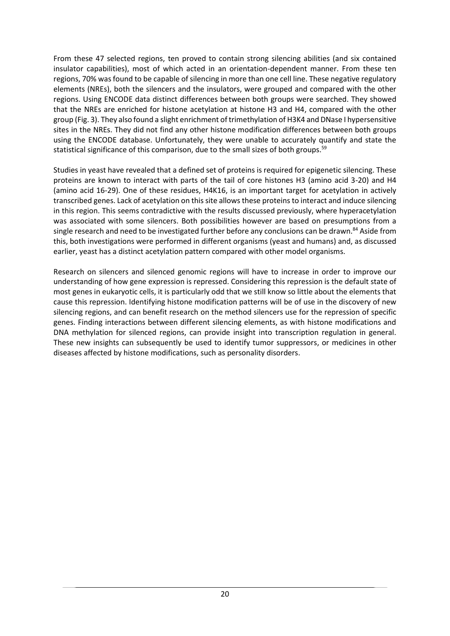From these 47 selected regions, ten proved to contain strong silencing abilities (and six contained insulator capabilities), most of which acted in an orientation-dependent manner. From these ten regions, 70% was found to be capable of silencing in more than one cell line. These negative regulatory elements (NREs), both the silencers and the insulators, were grouped and compared with the other regions. Using ENCODE data distinct differences between both groups were searched. They showed that the NREs are enriched for histone acetylation at histone H3 and H4, compared with the other group (Fig. 3). They also found a slight enrichment of trimethylation of H3K4 and DNase I hypersensitive sites in the NREs. They did not find any other histone modification differences between both groups using the ENCODE database. Unfortunately, they were unable to accurately quantify and state the statistical significance of this comparison, due to the small sizes of both groups.<sup>59</sup>

Studies in yeast have revealed that a defined set of proteins is required for epigenetic silencing. These proteins are known to interact with parts of the tail of core histones H3 (amino acid 3-20) and H4 (amino acid 16-29). One of these residues, H4K16, is an important target for acetylation in actively transcribed genes. Lack of acetylation on this site allows these proteins to interact and induce silencing in this region. This seems contradictive with the results discussed previously, where hyperacetylation was associated with some silencers. Both possibilities however are based on presumptions from a single research and need to be investigated further before any conclusions can be drawn.<sup>84</sup> Aside from this, both investigations were performed in different organisms (yeast and humans) and, as discussed earlier, yeast has a distinct acetylation pattern compared with other model organisms.

Research on silencers and silenced genomic regions will have to increase in order to improve our understanding of how gene expression is repressed. Considering this repression is the default state of most genes in eukaryotic cells, it is particularly odd that we still know so little about the elements that cause this repression. Identifying histone modification patterns will be of use in the discovery of new silencing regions, and can benefit research on the method silencers use for the repression of specific genes. Finding interactions between different silencing elements, as with histone modifications and DNA methylation for silenced regions, can provide insight into transcription regulation in general. These new insights can subsequently be used to identify tumor suppressors, or medicines in other diseases affected by histone modifications, such as personality disorders.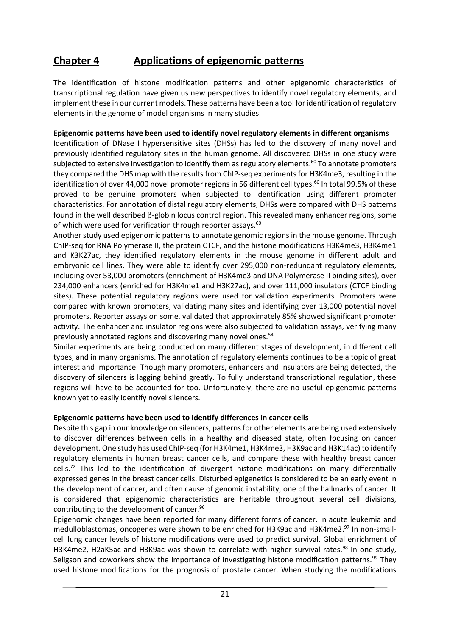# **Chapter 4 Applications of epigenomic patterns**

The identification of histone modification patterns and other epigenomic characteristics of transcriptional regulation have given us new perspectives to identify novel regulatory elements, and implement these in our current models. These patterns have been a tool for identification of regulatory elements in the genome of model organisms in many studies.

#### **Epigenomic patterns have been used to identify novel regulatory elements in different organisms**

Identification of DNase I hypersensitive sites (DHSs) has led to the discovery of many novel and previously identified regulatory sites in the human genome. All discovered DHSs in one study were subjected to extensive investigation to identify them as regulatory elements.<sup>60</sup> To annotate promoters they compared the DHS map with the results from ChIP-seq experiments for H3K4me3, resulting in the identification of over 44,000 novel promoter regions in 56 different cell types. <sup>60</sup> In total 99.5% of these proved to be genuine promoters when subjected to identification using different promoter characteristics. For annotation of distal regulatory elements, DHSs were compared with DHS patterns found in the well described  $\beta$ -globin locus control region. This revealed many enhancer regions, some of which were used for verification through reporter assays.<sup>60</sup>

Another study used epigenomic patterns to annotate genomic regions in the mouse genome. Through ChIP-seq for RNA Polymerase II, the protein CTCF, and the histone modifications H3K4me3, H3K4me1 and K3K27ac, they identified regulatory elements in the mouse genome in different adult and embryonic cell lines. They were able to identify over 295,000 non-redundant regulatory elements, including over 53,000 promoters (enrichment of H3K4me3 and DNA Polymerase II binding sites), over 234,000 enhancers (enriched for H3K4me1 and H3K27ac), and over 111,000 insulators (CTCF binding sites). These potential regulatory regions were used for validation experiments. Promoters were compared with known promoters, validating many sites and identifying over 13,000 potential novel promoters. Reporter assays on some, validated that approximately 85% showed significant promoter activity. The enhancer and insulator regions were also subjected to validation assays, verifying many previously annotated regions and discovering many novel ones.<sup>54</sup>

Similar experiments are being conducted on many different stages of development, in different cell types, and in many organisms. The annotation of regulatory elements continues to be a topic of great interest and importance. Though many promoters, enhancers and insulators are being detected, the discovery of silencers is lagging behind greatly. To fully understand transcriptional regulation, these regions will have to be accounted for too. Unfortunately, there are no useful epigenomic patterns known yet to easily identify novel silencers.

#### **Epigenomic patterns have been used to identify differences in cancer cells**

Despite this gap in our knowledge on silencers, patterns for other elements are being used extensively to discover differences between cells in a healthy and diseased state, often focusing on cancer development. One study has used ChIP-seq (for H3K4me1, H3K4me3, H3K9ac and H3K14ac) to identify regulatory elements in human breast cancer cells, and compare these with healthy breast cancer cells.<sup>72</sup> This led to the identification of divergent histone modifications on many differentially expressed genes in the breast cancer cells. Disturbed epigenetics is considered to be an early event in the development of cancer, and often cause of genomic instability, one of the hallmarks of cancer. It is considered that epigenomic characteristics are heritable throughout several cell divisions, contributing to the development of cancer.<sup>96</sup>

Epigenomic changes have been reported for many different forms of cancer. In acute leukemia and medulloblastomas, oncogenes were shown to be enriched for H3K9ac and H3K4me2.<sup>97</sup> In non-smallcell lung cancer levels of histone modifications were used to predict survival. Global enrichment of H3K4me2, H2aK5ac and H3K9ac was shown to correlate with higher survival rates.<sup>98</sup> In one study, Seligson and coworkers show the importance of investigating histone modification patterns.<sup>99</sup> They used histone modifications for the prognosis of prostate cancer. When studying the modifications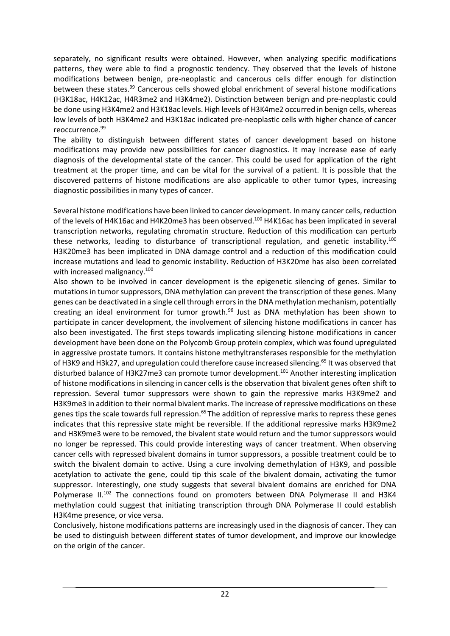separately, no significant results were obtained. However, when analyzing specific modifications patterns, they were able to find a prognostic tendency. They observed that the levels of histone modifications between benign, pre-neoplastic and cancerous cells differ enough for distinction between these states.<sup>99</sup> Cancerous cells showed global enrichment of several histone modifications (H3K18ac, H4K12ac, H4R3me2 and H3K4me2). Distinction between benign and pre-neoplastic could be done using H3K4me2 and H3K18ac levels. High levels of H3K4me2 occurred in benign cells, whereas low levels of both H3K4me2 and H3K18ac indicated pre-neoplastic cells with higher chance of cancer reoccurrence.<sup>99</sup>

The ability to distinguish between different states of cancer development based on histone modifications may provide new possibilities for cancer diagnostics. It may increase ease of early diagnosis of the developmental state of the cancer. This could be used for application of the right treatment at the proper time, and can be vital for the survival of a patient. It is possible that the discovered patterns of histone modifications are also applicable to other tumor types, increasing diagnostic possibilities in many types of cancer.

Several histone modifications have been linked to cancer development. In many cancer cells, reduction of the levels of H4K16ac and H4K20me3 has been observed.<sup>100</sup> H4K16ac has been implicated in several transcription networks, regulating chromatin structure. Reduction of this modification can perturb these networks, leading to disturbance of transcriptional regulation, and genetic instability.<sup>100</sup> H3K20me3 has been implicated in DNA damage control and a reduction of this modification could increase mutations and lead to genomic instability. Reduction of H3K20me has also been correlated with increased malignancy.<sup>100</sup>

Also shown to be involved in cancer development is the epigenetic silencing of genes. Similar to mutations in tumor suppressors, DNA methylation can prevent the transcription of these genes. Many genes can be deactivated in a single cell through errors in the DNA methylation mechanism, potentially creating an ideal environment for tumor growth.<sup>96</sup> Just as DNA methylation has been shown to participate in cancer development, the involvement of silencing histone modifications in cancer has also been investigated. The first steps towards implicating silencing histone modifications in cancer development have been done on the Polycomb Group protein complex, which was found upregulated in aggressive prostate tumors. It contains histone methyltransferases responsible for the methylation of H3K9 and H3k27, and upregulation could therefore cause increased silencing.<sup>65</sup> It was observed that disturbed balance of H3K27me3 can promote tumor development.<sup>101</sup> Another interesting implication of histone modifications in silencing in cancer cells is the observation that bivalent genes often shift to repression. Several tumor suppressors were shown to gain the repressive marks H3K9me2 and H3K9me3 in addition to their normal bivalent marks. The increase of repressive modifications on these genes tips the scale towards full repression.<sup>65</sup> The addition of repressive marks to repress these genes indicates that this repressive state might be reversible. If the additional repressive marks H3K9me2 and H3K9me3 were to be removed, the bivalent state would return and the tumor suppressors would no longer be repressed. This could provide interesting ways of cancer treatment. When observing cancer cells with repressed bivalent domains in tumor suppressors, a possible treatment could be to switch the bivalent domain to active. Using a cure involving demethylation of H3K9, and possible acetylation to activate the gene, could tip this scale of the bivalent domain, activating the tumor suppressor. Interestingly, one study suggests that several bivalent domains are enriched for DNA Polymerase II.<sup>102</sup> The connections found on promoters between DNA Polymerase II and H3K4 methylation could suggest that initiating transcription through DNA Polymerase II could establish H3K4me presence, or vice versa.

Conclusively, histone modifications patterns are increasingly used in the diagnosis of cancer. They can be used to distinguish between different states of tumor development, and improve our knowledge on the origin of the cancer.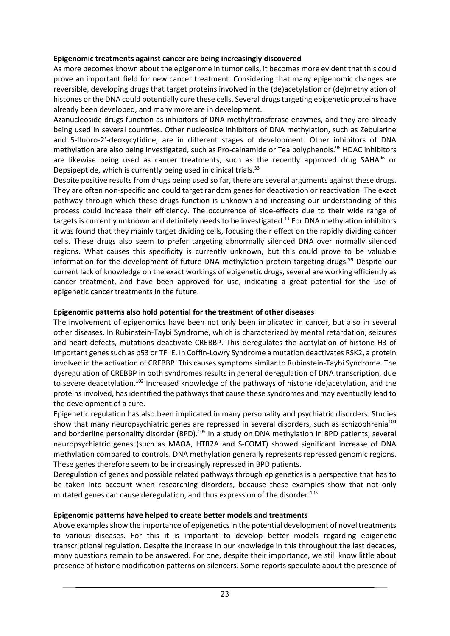### **Epigenomic treatments against cancer are being increasingly discovered**

As more becomes known about the epigenome in tumor cells, it becomes more evident that this could prove an important field for new cancer treatment. Considering that many epigenomic changes are reversible, developing drugs that target proteins involved in the (de)acetylation or (de)methylation of histones or the DNA could potentially cure these cells. Several drugs targeting epigenetic proteins have already been developed, and many more are in development.

Azanucleoside drugs function as inhibitors of DNA methyltransferase enzymes, and they are already being used in several countries. Other nucleoside inhibitors of DNA methylation, such as Zebularine and 5-fluoro-2'-deoxycytidine, are in different stages of development. Other inhibitors of DNA methylation are also being investigated, such as Pro-cainamide or Tea polyphenols.<sup>96</sup> HDAC inhibitors are likewise being used as cancer treatments, such as the recently approved drug SAHA $96$  or Depsipeptide, which is currently being used in clinical trials.<sup>33</sup>

Despite positive results from drugs being used so far, there are several arguments against these drugs. They are often non-specific and could target random genes for deactivation or reactivation. The exact pathway through which these drugs function is unknown and increasing our understanding of this process could increase their efficiency. The occurrence of side-effects due to their wide range of targets is currently unknown and definitely needs to be investigated.<sup>11</sup> For DNA methylation inhibitors it was found that they mainly target dividing cells, focusing their effect on the rapidly dividing cancer cells. These drugs also seem to prefer targeting abnormally silenced DNA over normally silenced regions. What causes this specificity is currently unknown, but this could prove to be valuable information for the development of future DNA methylation protein targeting drugs.<sup>99</sup> Despite our current lack of knowledge on the exact workings of epigenetic drugs, several are working efficiently as cancer treatment, and have been approved for use, indicating a great potential for the use of epigenetic cancer treatments in the future.

## **Epigenomic patterns also hold potential for the treatment of other diseases**

The involvement of epigenomics have been not only been implicated in cancer, but also in several other diseases. In Rubinstein-Taybi Syndrome, which is characterized by mental retardation, seizures and heart defects, mutations deactivate CREBBP. This deregulates the acetylation of histone H3 of important genes such as p53 or TFIIE. In Coffin-Lowry Syndrome a mutation deactivates RSK2, a protein involved in the activation of CREBBP. This causes symptoms similar to Rubinstein-Taybi Syndrome. The dysregulation of CREBBP in both syndromes results in general deregulation of DNA transcription, due to severe deacetylation.<sup>103</sup> Increased knowledge of the pathways of histone (de)acetylation, and the proteins involved, has identified the pathways that cause these syndromes and may eventually lead to the development of a cure.

Epigenetic regulation has also been implicated in many personality and psychiatric disorders. Studies show that many neuropsychiatric genes are repressed in several disorders, such as schizophrenia<sup>104</sup> and borderline personality disorder (BPD).<sup>105</sup> In a study on DNA methylation in BPD patients, several neuropsychiatric genes (such as MAOA, HTR2A and S-COMT) showed significant increase of DNA methylation compared to controls. DNA methylation generally represents repressed genomic regions. These genes therefore seem to be increasingly repressed in BPD patients.

Deregulation of genes and possible related pathways through epigenetics is a perspective that has to be taken into account when researching disorders, because these examples show that not only mutated genes can cause deregulation, and thus expression of the disorder.<sup>105</sup>

#### **Epigenomic patterns have helped to create better models and treatments**

Above examples show the importance of epigenetics in the potential development of novel treatments to various diseases. For this it is important to develop better models regarding epigenetic transcriptional regulation. Despite the increase in our knowledge in this throughout the last decades, many questions remain to be answered. For one, despite their importance, we still know little about presence of histone modification patterns on silencers. Some reports speculate about the presence of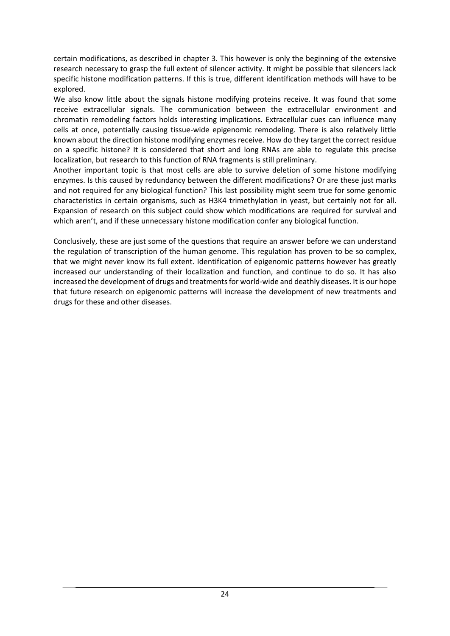certain modifications, as described in chapter 3. This however is only the beginning of the extensive research necessary to grasp the full extent of silencer activity. It might be possible that silencers lack specific histone modification patterns. If this is true, different identification methods will have to be explored.

We also know little about the signals histone modifying proteins receive. It was found that some receive extracellular signals. The communication between the extracellular environment and chromatin remodeling factors holds interesting implications. Extracellular cues can influence many cells at once, potentially causing tissue-wide epigenomic remodeling. There is also relatively little known about the direction histone modifying enzymes receive. How do they target the correct residue on a specific histone? It is considered that short and long RNAs are able to regulate this precise localization, but research to this function of RNA fragments is still preliminary.

Another important topic is that most cells are able to survive deletion of some histone modifying enzymes. Is this caused by redundancy between the different modifications? Or are these just marks and not required for any biological function? This last possibility might seem true for some genomic characteristics in certain organisms, such as H3K4 trimethylation in yeast, but certainly not for all. Expansion of research on this subject could show which modifications are required for survival and which aren't, and if these unnecessary histone modification confer any biological function.

Conclusively, these are just some of the questions that require an answer before we can understand the regulation of transcription of the human genome. This regulation has proven to be so complex, that we might never know its full extent. Identification of epigenomic patterns however has greatly increased our understanding of their localization and function, and continue to do so. It has also increased the development of drugs and treatments for world-wide and deathly diseases. It is our hope that future research on epigenomic patterns will increase the development of new treatments and drugs for these and other diseases.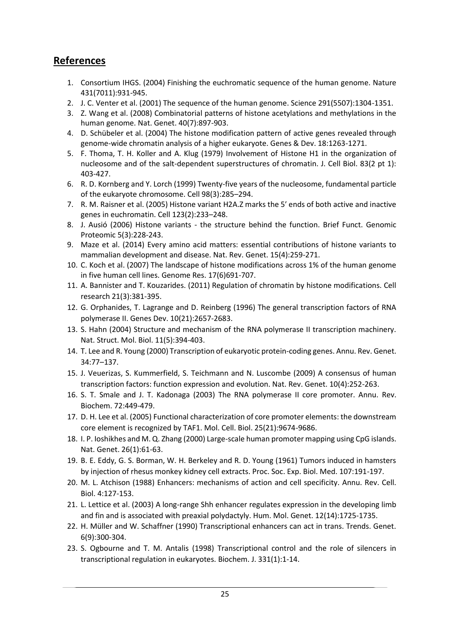## **References**

- 1. Consortium IHGS. (2004) Finishing the euchromatic sequence of the human genome. Nature 431(7011):931-945.
- 2. J. C. Venter et al. (2001) The sequence of the human genome. Science 291(5507):1304-1351.
- 3. Z. Wang et al. (2008) Combinatorial patterns of histone acetylations and methylations in the human genome. Nat. Genet. 40(7):897-903.
- 4. D. Schübeler et al. (2004) The histone modification pattern of active genes revealed through genome-wide chromatin analysis of a higher eukaryote. Genes & Dev. 18:1263-1271.
- 5. F. Thoma, T. H. Koller and A. Klug (1979) Involvement of Histone H1 in the organization of nucleosome and of the salt-dependent superstructures of chromatin. J. Cell Biol. 83(2 pt 1): 403-427.
- 6. R. D. Kornberg and Y. Lorch (1999) Twenty-five years of the nucleosome, fundamental particle of the eukaryote chromosome. Cell 98(3):285–294.
- 7. R. M. Raisner et al. (2005) Histone variant H2A.Z marks the 5′ ends of both active and inactive genes in euchromatin. Cell 123(2):233–248.
- 8. J. Ausió (2006) Histone variants the structure behind the function. Brief Funct. Genomic Proteomic 5(3):228-243.
- 9. Maze et al. (2014) Every amino acid matters: essential contributions of histone variants to mammalian development and disease. Nat. Rev. Genet. 15(4):259-271.
- 10. C. Koch et al. (2007) The landscape of histone modifications across 1% of the human genome in five human cell lines. Genome Res. 17(6)691-707.
- 11. A. Bannister and T. Kouzarides. (2011) Regulation of chromatin by histone modifications. Cell research 21(3):381-395.
- 12. G. Orphanides, T. Lagrange and D. Reinberg (1996) The general transcription factors of RNA polymerase II. Genes Dev. 10(21):2657-2683.
- 13. S. Hahn (2004) Structure and mechanism of the RNA polymerase II transcription machinery. Nat. Struct. Mol. Biol. 11(5):394-403.
- 14. T. Lee and R. Young (2000) Transcription of eukaryotic protein-coding genes. Annu. Rev. Genet. 34:77–137.
- 15. J. Veuerizas, S. Kummerfield, S. Teichmann and N. Luscombe (2009) A consensus of human transcription factors: function expression and evolution. Nat. Rev. Genet. 10(4):252-263.
- 16. S. T. Smale and J. T. Kadonaga (2003) The RNA polymerase II core promoter. Annu. Rev. Biochem. 72:449-479.
- 17. D. H. Lee et al. (2005) Functional characterization of core promoter elements: the downstream core element is recognized by TAF1. Mol. Cell. Biol. 25(21):9674-9686.
- 18. I. P. Ioshikhes and M. Q. Zhang (2000) Large-scale human promoter mapping using CpG islands. Nat. Genet. 26(1):61-63.
- 19. B. E. Eddy, G. S. Borman, W. H. Berkeley and R. D. Young (1961) Tumors induced in hamsters by injection of rhesus monkey kidney cell extracts. Proc. Soc. Exp. Biol. Med. 107:191-197.
- 20. M. L. Atchison (1988) Enhancers: mechanisms of action and cell specificity. Annu. Rev. Cell. Biol. 4:127-153.
- 21. L. Lettice et al. (2003) A long-range Shh enhancer regulates expression in the developing limb and fin and is associated with preaxial polydactyly. Hum. Mol. Genet. 12(14):1725-1735.
- 22. H. Müller and W. Schaffner (1990) Transcriptional enhancers can act in trans. Trends. Genet. 6(9):300-304.
- 23. S. Ogbourne and T. M. Antalis (1998) Transcriptional control and the role of silencers in transcriptional regulation in eukaryotes. Biochem. J. 331(1):1-14.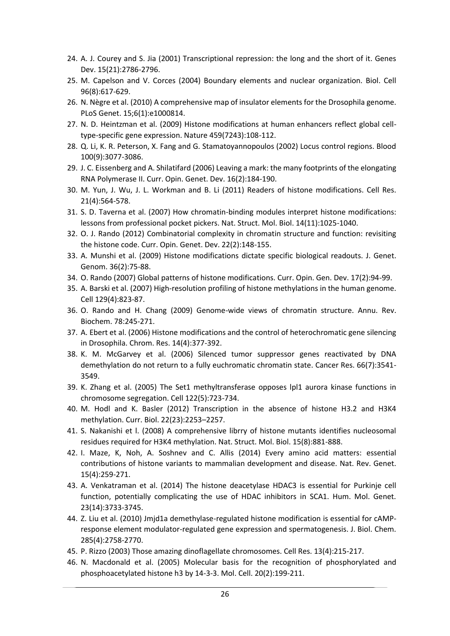- 24. A. J. Courey and S. Jia (2001) Transcriptional repression: the long and the short of it. Genes Dev. 15(21):2786-2796.
- 25. M. Capelson and V. Corces (2004) Boundary elements and nuclear organization. Biol. Cell 96(8):617-629.
- 26. N. Nègre et al. (2010) A comprehensive map of insulator elements for the Drosophila genome. PLoS Genet. 15;6(1):e1000814.
- 27. N. D. Heintzman et al. (2009) Histone modifications at human enhancers reflect global celltype-specific gene expression. Nature 459(7243):108-112.
- 28. Q. Li, K. R. Peterson, X. Fang and G. Stamatoyannopoulos (2002) Locus control regions. Blood 100(9):3077-3086.
- 29. J. C. Eissenberg and A. Shilatifard (2006) Leaving a mark: the many footprints of the elongating RNA Polymerase II. Curr. Opin. Genet. Dev. 16(2):184-190.
- 30. M. Yun, J. Wu, J. L. Workman and B. Li (2011) Readers of histone modifications. Cell Res. 21(4):564-578.
- 31. S. D. Taverna et al. (2007) How chromatin-binding modules interpret histone modifications: lessons from professional pocket pickers. Nat. Struct. Mol. Biol. 14(11):1025-1040.
- 32. O. J. Rando (2012) Combinatorial complexity in chromatin structure and function: revisiting the histone code. Curr. Opin. Genet. Dev. 22(2):148-155.
- 33. A. Munshi et al. (2009) Histone modifications dictate specific biological readouts. J. Genet. Genom. 36(2):75-88.
- 34. O. Rando (2007) Global patterns of histone modifications. Curr. Opin. Gen. Dev. 17(2):94-99.
- 35. A. Barski et al. (2007) High-resolution profiling of histone methylations in the human genome. Cell 129(4):823-87.
- 36. O. Rando and H. Chang (2009) Genome-wide views of chromatin structure. Annu. Rev. Biochem. 78:245-271.
- 37. A. Ebert et al. (2006) Histone modifications and the control of heterochromatic gene silencing in Drosophila. Chrom. Res. 14(4):377-392.
- 38. K. M. McGarvey et al. (2006) Silenced tumor suppressor genes reactivated by DNA demethylation do not return to a fully euchromatic chromatin state. Cancer Res. 66(7):3541- 3549.
- 39. K. Zhang et al. (2005) The Set1 methyltransferase opposes lpl1 aurora kinase functions in chromosome segregation. Cell 122(5):723-734.
- 40. M. Hodl and K. Basler (2012) Transcription in the absence of histone H3.2 and H3K4 methylation. Curr. Biol. 22(23):2253–2257.
- 41. S. Nakanishi et l. (2008) A comprehensive librry of histone mutants identifies nucleosomal residues required for H3K4 methylation. Nat. Struct. Mol. Biol. 15(8):881-888.
- 42. I. Maze, K, Noh, A. Soshnev and C. Allis (2014) Every amino acid matters: essential contributions of histone variants to mammalian development and disease. Nat. Rev. Genet. 15(4):259-271.
- 43. A. Venkatraman et al. (2014) The histone deacetylase HDAC3 is essential for Purkinje cell function, potentially complicating the use of HDAC inhibitors in SCA1. Hum. Mol. Genet. 23(14):3733-3745.
- 44. Z. Liu et al. (2010) Jmjd1a demethylase-regulated histone modification is essential for cAMPresponse element modulator-regulated gene expression and spermatogenesis. J. Biol. Chem. 285(4):2758-2770.
- 45. P. Rizzo (2003) Those amazing dinoflagellate chromosomes. Cell Res. 13(4):215-217.
- 46. N. Macdonald et al. (2005) Molecular basis for the recognition of phosphorylated and phosphoacetylated histone h3 by 14-3-3. Mol. Cell. 20(2):199-211.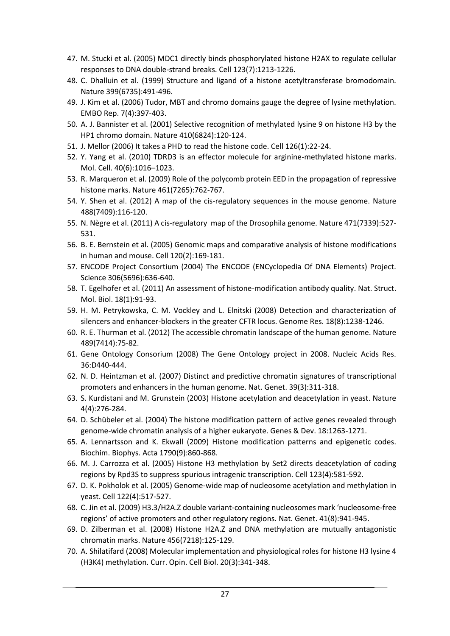- 47. M. Stucki et al. (2005) MDC1 directly binds phosphorylated histone H2AX to regulate cellular responses to DNA double-strand breaks. Cell 123(7):1213-1226.
- 48. C. Dhalluin et al. (1999) Structure and ligand of a histone acetyltransferase bromodomain. Nature 399(6735):491-496.
- 49. J. Kim et al. (2006) Tudor, MBT and chromo domains gauge the degree of lysine methylation. EMBO Rep. 7(4):397-403.
- 50. A. J. Bannister et al. (2001) Selective recognition of methylated lysine 9 on histone H3 by the HP1 chromo domain. Nature 410(6824):120-124.
- 51. J. Mellor (2006) It takes a PHD to read the histone code. Cell 126(1):22-24.
- 52. Y. Yang et al. (2010) TDRD3 is an effector molecule for arginine-methylated histone marks. Mol. Cell. 40(6):1016–1023.
- 53. R. Marqueron et al. (2009) Role of the polycomb protein EED in the propagation of repressive histone marks. Nature 461(7265):762-767.
- 54. Y. Shen et al. (2012) A map of the cis-regulatory sequences in the mouse genome. Nature 488(7409):116-120.
- 55. N. Nègre et al. (2011) A cis-regulatory map of the Drosophila genome. Nature 471(7339):527- 531.
- 56. B. E. Bernstein et al. (2005) Genomic maps and comparative analysis of histone modifications in human and mouse. Cell 120(2):169-181.
- 57. ENCODE Project Consortium (2004) The ENCODE (ENCyclopedia Of DNA Elements) Project. Science 306(5696):636-640.
- 58. T. Egelhofer et al. (2011) An assessment of histone-modification antibody quality. Nat. Struct. Mol. Biol. 18(1):91-93.
- 59. H. M. Petrykowska, C. M. Vockley and L. Elnitski (2008) Detection and characterization of silencers and enhancer-blockers in the greater CFTR locus. Genome Res. 18(8):1238-1246.
- 60. R. E. Thurman et al. (2012) The accessible chromatin landscape of the human genome. Nature 489(7414):75-82.
- 61. Gene Ontology Consorium (2008) The Gene Ontology project in 2008. Nucleic Acids Res. 36:D440-444.
- 62. N. D. Heintzman et al. (2007) Distinct and predictive chromatin signatures of transcriptional promoters and enhancers in the human genome. Nat. Genet. 39(3):311-318.
- 63. S. Kurdistani and M. Grunstein (2003) Histone acetylation and deacetylation in yeast. Nature 4(4):276-284.
- 64. D. Schübeler et al. (2004) The histone modification pattern of active genes revealed through genome-wide chromatin analysis of a higher eukaryote. Genes & Dev. 18:1263-1271.
- 65. A. Lennartsson and K. Ekwall (2009) Histone modification patterns and epigenetic codes. Biochim. Biophys. Acta 1790(9):860-868.
- 66. M. J. Carrozza et al. (2005) Histone H3 methylation by Set2 directs deacetylation of coding regions by Rpd3S to suppress spurious intragenic transcription. Cell 123(4):581-592.
- 67. D. K. Pokholok et al. (2005) Genome-wide map of nucleosome acetylation and methylation in yeast. Cell 122(4):517-527.
- 68. C. Jin et al. (2009) H3.3/H2A.Z double variant-containing nucleosomes mark 'nucleosome-free regions' of active promoters and other regulatory regions. Nat. Genet. 41(8):941-945.
- 69. D. Zilberman et al. (2008) Histone H2A.Z and DNA methylation are mutually antagonistic chromatin marks. Nature 456(7218):125-129.
- 70. A. Shilatifard (2008) Molecular implementation and physiological roles for histone H3 lysine 4 (H3K4) methylation. Curr. Opin. Cell Biol. 20(3):341-348.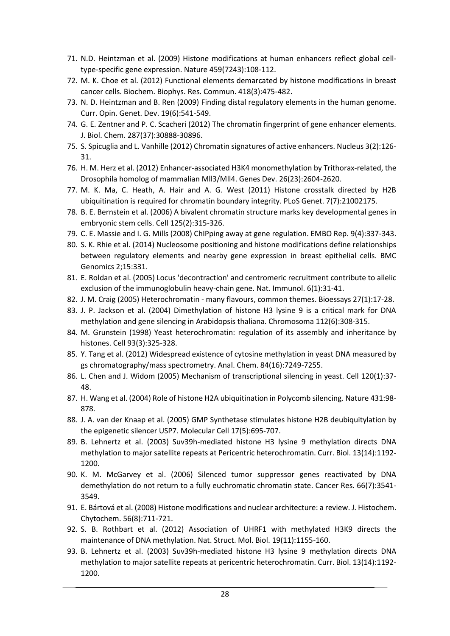- 71. N.D. Heintzman et al. (2009) Histone modifications at human enhancers reflect global celltype-specific gene expression. Nature 459(7243):108-112.
- 72. M. K. Choe et al. (2012) Functional elements demarcated by histone modifications in breast cancer cells. Biochem. Biophys. Res. Commun. 418(3):475-482.
- 73. N. D. Heintzman and B. Ren (2009) Finding distal regulatory elements in the human genome. Curr. Opin. Genet. Dev. 19(6):541-549.
- 74. G. E. Zentner and P. C. Scacheri (2012) The chromatin fingerprint of gene enhancer elements. J. Biol. Chem. 287(37):30888-30896.
- 75. S. Spicuglia and L. Vanhille (2012) Chromatin signatures of active enhancers. Nucleus 3(2):126- 31.
- 76. H. M. Herz et al. (2012) Enhancer-associated H3K4 monomethylation by Trithorax-related, the Drosophila homolog of mammalian Mll3/Mll4. Genes Dev. 26(23):2604-2620.
- 77. M. K. Ma, C. Heath, A. Hair and A. G. West (2011) Histone crosstalk directed by H2B ubiquitination is required for chromatin boundary integrity. PLoS Genet. 7(7):21002175.
- 78. B. E. Bernstein et al. (2006) A bivalent chromatin structure marks key developmental genes in embryonic stem cells. Cell 125(2):315-326.
- 79. C. E. Massie and I. G. Mills (2008) ChIPping away at gene regulation. EMBO Rep. 9(4):337-343.
- 80. S. K. Rhie et al. (2014) Nucleosome positioning and histone modifications define relationships between regulatory elements and nearby gene expression in breast epithelial cells. BMC Genomics 2;15:331.
- 81. E. Roldan et al. (2005) Locus 'decontraction' and centromeric recruitment contribute to allelic exclusion of the immunoglobulin heavy-chain gene. Nat. Immunol. 6(1):31-41.
- 82. J. M. Craig (2005) Heterochromatin many flavours, common themes. Bioessays 27(1):17-28.
- 83. J. P. Jackson et al. (2004) Dimethylation of histone H3 lysine 9 is a critical mark for DNA methylation and gene silencing in Arabidopsis thaliana. Chromosoma 112(6):308-315.
- 84. M. Grunstein (1998) Yeast heterochromatin: regulation of its assembly and inheritance by histones. Cell 93(3):325-328.
- 85. Y. Tang et al. (2012) Widespread existence of cytosine methylation in yeast DNA measured by gs chromatography/mass spectrometry. Anal. Chem. 84(16):7249-7255.
- 86. L. Chen and J. Widom (2005) Mechanism of transcriptional silencing in yeast. Cell 120(1):37- 48.
- 87. H. Wang et al. (2004) Role of histone H2A ubiquitination in Polycomb silencing. Nature 431:98- 878.
- 88. J. A. van der Knaap et al. (2005) GMP Synthetase stimulates histone H2B deubiquitylation by the epigenetic silencer USP7. Molecular Cell 17(5):695-707.
- 89. B. Lehnertz et al. (2003) Suv39h-mediated histone H3 lysine 9 methylation directs DNA methylation to major satellite repeats at Pericentric heterochromatin. Curr. Biol. 13(14):1192- 1200.
- 90. K. M. McGarvey et al. (2006) Silenced tumor suppressor genes reactivated by DNA demethylation do not return to a fully euchromatic chromatin state. Cancer Res. 66(7):3541- 3549.
- 91. E. Bártová et al. (2008) Histone modifications and nuclear architecture: a review. J. Histochem. Chytochem. 56(8):711-721.
- 92. S. B. Rothbart et al. (2012) Association of UHRF1 with methylated H3K9 directs the maintenance of DNA methylation. Nat. Struct. Mol. Biol. 19(11):1155-160.
- 93. B. Lehnertz et al. (2003) Suv39h-mediated histone H3 lysine 9 methylation directs DNA methylation to major satellite repeats at pericentric heterochromatin. Curr. Biol. 13(14):1192- 1200.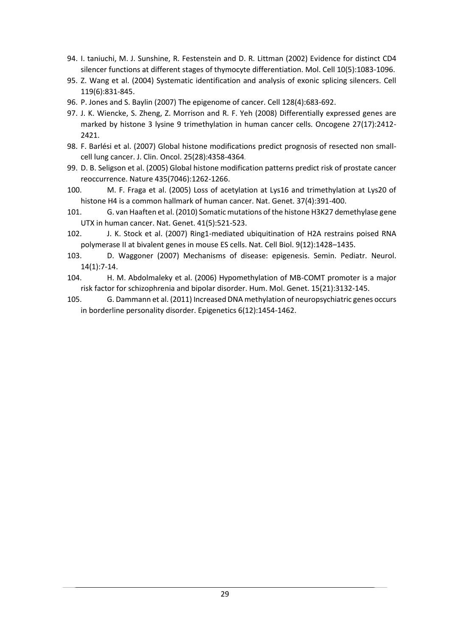- 94. I. taniuchi, M. J. Sunshine, R. Festenstein and D. R. Littman (2002) Evidence for distinct CD4 silencer functions at different stages of thymocyte differentiation. Mol. Cell 10(5):1083-1096.
- 95. Z. Wang et al. (2004) Systematic identification and analysis of exonic splicing silencers. Cell 119(6):831-845.
- 96. P. Jones and S. Baylin (2007) The epigenome of cancer. Cell 128(4):683-692.
- 97. J. K. Wiencke, S. Zheng, Z. Morrison and R. F. Yeh (2008) Differentially expressed genes are marked by histone 3 lysine 9 trimethylation in human cancer cells. Oncogene 27(17):2412- 2421.
- 98. F. Barlési et al. (2007) Global histone modifications predict prognosis of resected non smallcell lung cancer. J. Clin. Oncol. 25(28):4358-4364.
- 99. D. B. Seligson et al. (2005) Global histone modification patterns predict risk of prostate cancer reoccurrence. Nature 435(7046):1262-1266.
- 100. M. F. Fraga et al. (2005) Loss of acetylation at Lys16 and trimethylation at Lys20 of histone H4 is a common hallmark of human cancer. Nat. Genet. 37(4):391-400.
- 101. G. van Haaften et al. (2010) Somatic mutations of the histone H3K27 demethylase gene UTX in human cancer. Nat. Genet. 41(5):521-523.
- 102. J. K. Stock et al. (2007) Ring1-mediated ubiquitination of H2A restrains poised RNA polymerase II at bivalent genes in mouse ES cells. Nat. Cell Biol. 9(12):1428–1435.
- 103. D. Waggoner (2007) Mechanisms of disease: epigenesis. Semin. Pediatr. Neurol. 14(1):7-14.
- 104. H. M. Abdolmaleky et al. (2006) Hypomethylation of MB-COMT promoter is a major risk factor for schizophrenia and bipolar disorder. Hum. Mol. Genet. 15(21):3132-145.
- 105. G. Dammann et al. (2011) Increased DNA methylation of neuropsychiatric genes occurs in borderline personality disorder. Epigenetics 6(12):1454-1462.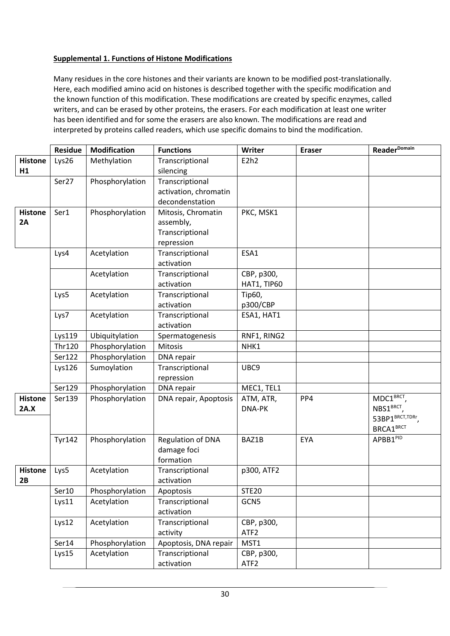#### **Supplemental 1. Functions of Histone Modifications**

Many residues in the core histones and their variants are known to be modified post-translationally. Here, each modified amino acid on histones is described together with the specific modification and the known function of this modification. These modifications are created by specific enzymes, called writers, and can be erased by other proteins, the erasers. For each modification at least one writer has been identified and for some the erasers are also known. The modifications are read and interpreted by proteins called readers, which use specific domains to bind the modification.

|                        | <b>Residue</b> | <b>Modification</b> | <b>Functions</b>                                                 | Writer                         | <b>Eraser</b> | <b>Reader</b> <sup>Domain</sup>                                                             |
|------------------------|----------------|---------------------|------------------------------------------------------------------|--------------------------------|---------------|---------------------------------------------------------------------------------------------|
| <b>Histone</b><br>H1   | Lys26          | Methylation         | Transcriptional<br>silencing                                     | E2h2                           |               |                                                                                             |
|                        | Ser27          | Phosphorylation     | Transcriptional<br>activation, chromatin<br>decondenstation      |                                |               |                                                                                             |
| <b>Histone</b><br>2A   | Ser1           | Phosphorylation     | Mitosis, Chromatin<br>assembly,<br>Transcriptional<br>repression | PKC, MSK1                      |               |                                                                                             |
|                        | Lys4           | Acetylation         | Transcriptional<br>activation                                    | ESA1                           |               |                                                                                             |
|                        |                | Acetylation         | Transcriptional<br>activation                                    | CBP, p300,<br>HAT1, TIP60      |               |                                                                                             |
|                        | Lys5           | Acetylation         | Transcriptional<br>activation                                    | Tip60,<br>p300/CBP             |               |                                                                                             |
|                        | Lys7           | Acetylation         | Transcriptional<br>activation                                    | ESA1, HAT1                     |               |                                                                                             |
|                        | Lys119         | Ubiquitylation      | Spermatogenesis                                                  | RNF1, RING2                    |               |                                                                                             |
|                        | <b>Thr120</b>  | Phosphorylation     | Mitosis                                                          | NHK1                           |               |                                                                                             |
|                        | Ser122         | Phosphorylation     | DNA repair                                                       |                                |               |                                                                                             |
|                        | Lys126         | Sumoylation         | Transcriptional<br>repression                                    | UBC9                           |               |                                                                                             |
|                        | Ser129         | Phosphorylation     | DNA repair                                                       | MEC1, TEL1                     |               |                                                                                             |
| <b>Histone</b><br>2A.X | Ser139         | Phosphorylation     | DNA repair, Apoptosis                                            | ATM, ATR,<br>DNA-PK            | PP4           | MDC1BRCT<br>NBS1 <sup>BRCT</sup> ,<br>53BP1 <sup>BRCT,TDRr</sup> ,<br>BRCA1 <sup>BRCT</sup> |
|                        | <b>Tyr142</b>  | Phosphorylation     | <b>Regulation of DNA</b><br>damage foci<br>formation             | BAZ1B                          | EYA           | APBB1PID                                                                                    |
| <b>Histone</b><br>2B   | Lys5           | Acetylation         | Transcriptional<br>activation                                    | p300, ATF2                     |               |                                                                                             |
|                        | Ser10          | Phosphorylation     | Apoptosis                                                        | <b>STE20</b>                   |               |                                                                                             |
|                        | Lys11          | Acetylation         | Transcriptional<br>activation                                    | GCN5                           |               |                                                                                             |
|                        | Lys12          | Acetylation         | Transcriptional<br>activity                                      | CBP, p300,<br>ATF <sub>2</sub> |               |                                                                                             |
|                        | Ser14          | Phosphorylation     | Apoptosis, DNA repair                                            | MST1                           |               |                                                                                             |
|                        | Lys15          | Acetylation         | Transcriptional<br>activation                                    | CBP, p300,<br>ATF <sub>2</sub> |               |                                                                                             |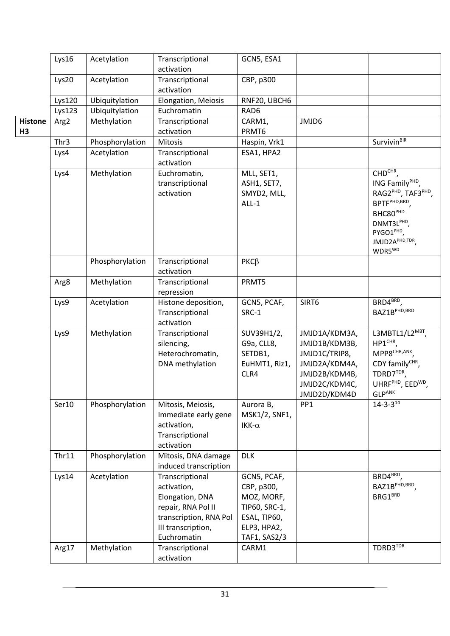|       |                | Lys16            | Acetylation                   | Transcriptional                        | GCN5, ESA1           |                 |                                             |
|-------|----------------|------------------|-------------------------------|----------------------------------------|----------------------|-----------------|---------------------------------------------|
|       |                |                  |                               | activation                             |                      |                 |                                             |
| Lys20 |                | Acetylation      | Transcriptional<br>activation | CBP, p300                              |                      |                 |                                             |
|       |                | Lys120           | Ubiquitylation                | Elongation, Meiosis                    | RNF20, UBCH6         |                 |                                             |
|       |                | Lys123           | Ubiquitylation                | Euchromatin                            | RAD6                 |                 |                                             |
|       | <b>Histone</b> | Arg <sub>2</sub> | Methylation                   | Transcriptional                        | CARM1,               | JMJD6           |                                             |
|       | H3             |                  |                               | activation                             | PRMT6                |                 |                                             |
|       |                | Thr3             | Phosphorylation               | Mitosis                                | Haspin, Vrk1         |                 | Survivin <sup>BIR</sup>                     |
|       |                | Lys4             | Acetylation                   | Transcriptional                        | ESA1, HPA2           |                 |                                             |
|       |                |                  |                               | activation                             |                      |                 |                                             |
|       |                | Lys4             | Methylation                   | Euchromatin,                           | MLL, SET1,           |                 | CHD <sup>CHR</sup> ,                        |
|       |                |                  |                               | transcriptional                        | ASH1, SET7,          |                 | ING Family <sup>PHD</sup> ,                 |
|       |                |                  |                               | activation                             | SMYD2, MLL,          |                 | RAG2 <sup>PHD</sup> , TAF3 <sup>PHD</sup> , |
|       |                |                  |                               |                                        | $ALL-1$              |                 | BPTF <sup>PHD,BRD</sup> ,                   |
|       |                |                  |                               |                                        |                      |                 | BHC80 <sup>PHD</sup>                        |
|       |                |                  |                               |                                        |                      |                 | DNMT3LPHD,                                  |
|       |                |                  |                               |                                        |                      |                 | PYGO1 <sup>PHD</sup> ,                      |
|       |                |                  |                               |                                        |                      |                 | JMJD2APHD,TDR                               |
|       |                |                  |                               |                                        |                      |                 | WDR5 <sup>WD</sup>                          |
|       |                | Phosphorylation  |                               | Transcriptional                        | $PKC\beta$           |                 |                                             |
|       |                |                  |                               | activation                             |                      |                 |                                             |
|       |                | Arg8             | Methylation                   | Transcriptional                        | PRMT5                |                 |                                             |
|       |                |                  |                               | repression                             |                      | SIRT6           | $BRD4^{BRD}$ ,                              |
|       |                | Lys9             | Acetylation                   | Histone deposition,<br>Transcriptional | GCN5, PCAF,<br>SRC-1 |                 | BAZ1B <sup>PHD,BRD</sup>                    |
|       |                |                  |                               | activation                             |                      |                 |                                             |
|       |                | Lys9             | Methylation                   | Transcriptional                        | SUV39H1/2,           | JMJD1A/KDM3A,   | L3MBTL1/L2MBT,                              |
|       |                |                  |                               | silencing,                             | G9a, CLL8,           | JMJD1B/KDM3B,   | HP1 <sup>CHR</sup> ,                        |
|       |                |                  |                               | Heterochromatin,                       | SETDB1,              | JMJD1C/TRIP8,   | MPP8 <sup>CHR, ANK</sup> ,                  |
|       |                |                  |                               | DNA methylation                        | EuHMT1, Riz1,        | JMJD2A/KDM4A,   | CDY familyCHR,                              |
|       |                |                  |                               |                                        | CLR4                 | JMJD2B/KDM4B,   | TDRD7TDR,                                   |
|       |                |                  |                               |                                        |                      | JMJD2C/KDM4C,   | UHRF <sup>PHD</sup> , EED <sup>WD</sup> ,   |
|       |                |                  |                               |                                        |                      | JMJD2D/KDM4D    | <b>GLPANK</b>                               |
|       |                | Ser10            | Phosphorylation               | Mitosis, Meiosis,                      | Aurora B,            | PP <sub>1</sub> | $14 - 3 - 3^{14}$                           |
|       |                |                  |                               | Immediate early gene                   | MSK1/2, SNF1,        |                 |                                             |
|       |                |                  |                               | activation,                            | IKK- $\alpha$        |                 |                                             |
|       |                |                  |                               | Transcriptional                        |                      |                 |                                             |
|       |                |                  |                               | activation                             |                      |                 |                                             |
|       |                | Thr11            | Phosphorylation               | Mitosis, DNA damage                    | <b>DLK</b>           |                 |                                             |
|       |                |                  |                               | induced transcription                  |                      |                 |                                             |
|       |                | Lys14            | Acetylation                   | Transcriptional                        | GCN5, PCAF,          |                 | BRD4 <sup>BRD</sup> ,                       |
|       |                |                  |                               | activation,                            | CBP, p300,           |                 | BAZ1B <sup>PHD,BRD</sup> ,                  |
|       |                |                  |                               | Elongation, DNA                        | MOZ, MORF,           |                 | BRG1 <sup>BRD</sup>                         |
|       |                |                  |                               | repair, RNA Pol II                     | TIP60, SRC-1,        |                 |                                             |
|       |                |                  |                               | transcription, RNA Pol                 | ESAL, TIP60,         |                 |                                             |
|       |                |                  |                               | III transcription,                     | ELP3, HPA2,          |                 |                                             |
|       |                |                  |                               | Euchromatin                            | TAF1, SAS2/3         |                 |                                             |
|       |                | Arg17            | Methylation                   | Transcriptional                        | CARM1                |                 | TDRD3TDR                                    |
|       |                |                  |                               | activation                             |                      |                 |                                             |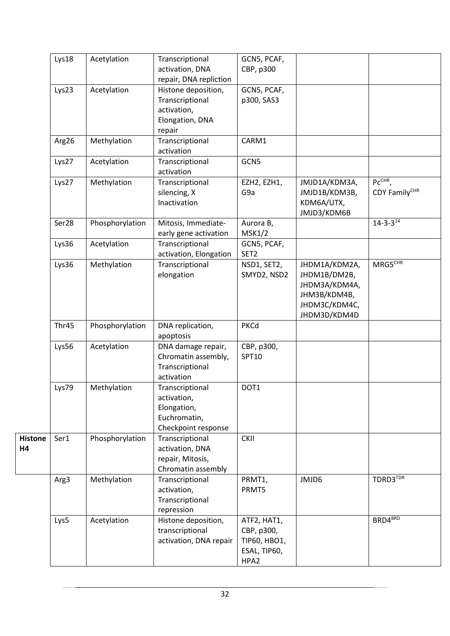|                             | Lys18 | Acetylation     | Transcriptional<br>activation, DNA<br>repair, DNA repliction                         | GCN5, PCAF,<br>CBP, p300                                          |                                                                                                 |                        |
|-----------------------------|-------|-----------------|--------------------------------------------------------------------------------------|-------------------------------------------------------------------|-------------------------------------------------------------------------------------------------|------------------------|
|                             | Lys23 | Acetylation     | Histone deposition,<br>Transcriptional<br>activation,<br>Elongation, DNA<br>repair   | GCN5, PCAF,<br>p300, SAS3                                         |                                                                                                 |                        |
|                             | Arg26 | Methylation     | Transcriptional<br>activation                                                        | CARM1                                                             |                                                                                                 |                        |
|                             | Lys27 | Acetylation     | Transcriptional<br>activation                                                        | GCN5                                                              |                                                                                                 |                        |
|                             | Lys27 | Methylation     | Transcriptional<br>silencing, X<br>Inactivation                                      | EZH2, EZH1,<br>G9a                                                | JMJD1A/KDM3A,<br>JMJD1B/KDM3B,<br>KDM6A/UTX,<br>JMJD3/KDM6B                                     | PcCHR<br>CDY FamilyCHR |
|                             | Ser28 | Phosphorylation | Mitosis, Immediate-<br>early gene activation                                         | Aurora B,<br><b>MSK1/2</b>                                        |                                                                                                 | $14 - 3 - 3^{14}$      |
|                             | Lys36 | Acetylation     | Transcriptional<br>activation, Elongation                                            | GCN5, PCAF,<br>SET <sub>2</sub>                                   |                                                                                                 |                        |
|                             | Lys36 | Methylation     | Transcriptional<br>elongation                                                        | NSD1, SET2,<br>SMYD2, NSD2                                        | JHDM1A/KDM2A,<br>JHDM1B/DM2B,<br>JHDM3A/KDM4A,<br>JHM3B/KDM4B,<br>JHDM3C/KDM4C,<br>JHDM3D/KDM4D | MRG5 <sup>CHR</sup>    |
|                             | Thr45 | Phosphorylation | DNA replication,<br>apoptosis                                                        | PKCd                                                              |                                                                                                 |                        |
|                             | Lys56 | Acetylation     | DNA damage repair,<br>Chromatin assembly,<br>Transcriptional<br>activation           | CBP, p300,<br>SPT10                                               |                                                                                                 |                        |
|                             | Lys79 | Methylation     | Transcriptional<br>activation,<br>Elongation,<br>Euchromatin,<br>Checkpoint response | DOT1                                                              |                                                                                                 |                        |
| <b>Histone</b><br><b>H4</b> | Ser1  | Phosphorylation | Transcriptional<br>activation, DNA<br>repair, Mitosis,<br>Chromatin assembly         | <b>CKII</b>                                                       |                                                                                                 |                        |
|                             | Arg3  | Methylation     | Transcriptional<br>activation,<br>Transcriptional<br>repression                      | PRMT1,<br>PRMT5                                                   | JMJD6                                                                                           | TDRD3TDR               |
|                             | Lys5  | Acetylation     | Histone deposition,<br>transcriptional<br>activation, DNA repair                     | ATF2, HAT1,<br>CBP, p300,<br>TIP60, HBO1,<br>ESAL, TIP60,<br>HPA2 |                                                                                                 | BRD4 <sup>BRD</sup>    |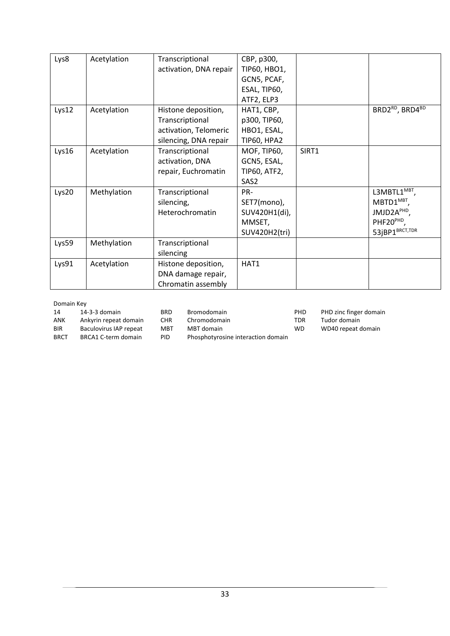| Lys8  | Acetylation | Transcriptional<br>activation, DNA repair | CBP, p300,<br>TIP60, HBO1, |       |                            |
|-------|-------------|-------------------------------------------|----------------------------|-------|----------------------------|
|       |             |                                           | GCN5, PCAF,                |       |                            |
|       |             |                                           | ESAL, TIP60,               |       |                            |
|       |             |                                           | ATF2, ELP3                 |       |                            |
| Lys12 | Acetylation | Histone deposition,                       | HAT1, CBP,                 |       | BRD2RD, BRD4BD             |
|       |             | Transcriptional                           | p300, TIP60,               |       |                            |
|       |             | activation, Telomeric                     | HBO1, ESAL,                |       |                            |
|       |             | silencing, DNA repair                     | TIP60, HPA2                |       |                            |
| Lys16 | Acetylation | Transcriptional                           | MOF, TIP60,                | SIRT1 |                            |
|       |             | activation, DNA                           | GCN5, ESAL,                |       |                            |
|       |             | repair, Euchromatin                       | <b>TIP60, ATF2,</b>        |       |                            |
|       |             |                                           | SAS2                       |       |                            |
| Lys20 | Methylation | Transcriptional                           | PR-                        |       | L3MBTL1 <sup>MBT</sup> ,   |
|       |             | silencing,                                | SET7(mono),                |       | $MBTD1^{MBT}$ ,            |
|       |             | Heterochromatin                           | SUV420H1(di),              |       | JMJD2APHD,                 |
|       |             |                                           | MMSET,                     |       | PHF20PHD,                  |
|       |             |                                           | SUV420H2(tri)              |       | 53jBP1 <sup>BRCT,TDR</sup> |
| Lys59 | Methylation | Transcriptional                           |                            |       |                            |
|       |             | silencing                                 |                            |       |                            |
| Lys91 | Acetylation | Histone deposition,                       | HAT1                       |       |                            |
|       |             | DNA damage repair,                        |                            |       |                            |
|       |             | Chromatin assembly                        |                            |       |                            |

#### Domain Key

| <b>DUITION NUY</b> |                        |            |                                    |            |                      |
|--------------------|------------------------|------------|------------------------------------|------------|----------------------|
| 14                 | 14-3-3 domain          | BRD.       | <b>Bromodomain</b>                 | <b>PHD</b> | PHD zinc finger doma |
| <b>ANK</b>         | Ankyrin repeat domain  | <b>CHR</b> | Chromodomain                       | TDR        | Tudor domain         |
| <b>BIR</b>         | Baculovirus IAP repeat | MBT        | MBT domain                         | WD         | WD40 repeat domain   |
| <b>BRCT</b>        | BRCA1 C-term domain    | PID.       | Phosphotyrosine interaction domain |            |                      |

PID Phosphotyrosine interaction domain